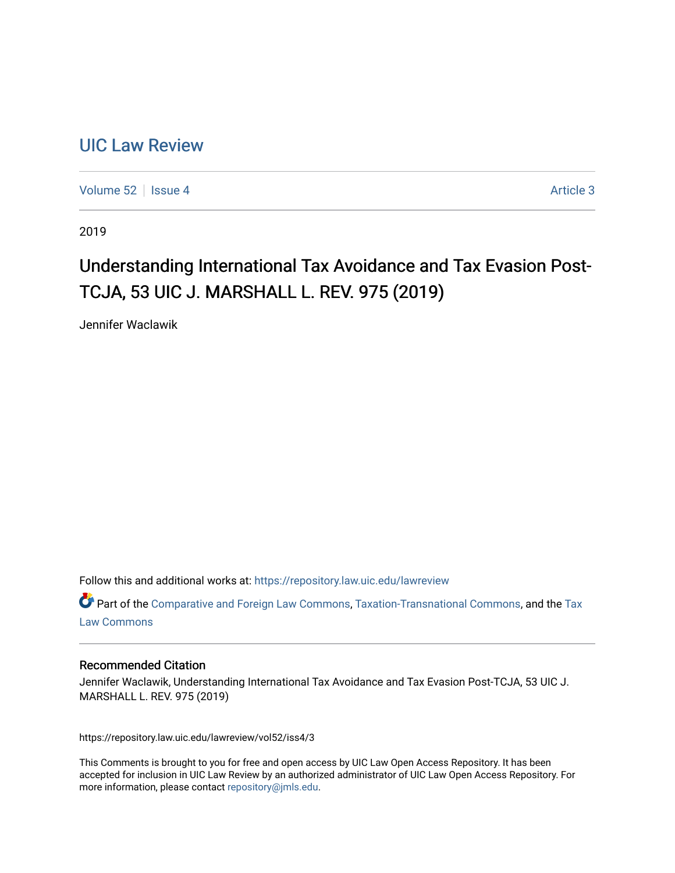## [UIC Law Review](https://repository.law.uic.edu/lawreview)

[Volume 52](https://repository.law.uic.edu/lawreview/vol52) Setsue 4 [Article 3](https://repository.law.uic.edu/lawreview/vol52/iss4/3) Article 3

2019

# Understanding International Tax Avoidance and Tax Evasion Post-TCJA, 53 UIC J. MARSHALL L. REV. 975 (2019)

Jennifer Waclawik

Follow this and additional works at: [https://repository.law.uic.edu/lawreview](https://repository.law.uic.edu/lawreview?utm_source=repository.law.uic.edu%2Flawreview%2Fvol52%2Fiss4%2F3&utm_medium=PDF&utm_campaign=PDFCoverPages) 

Part of the [Comparative and Foreign Law Commons,](http://network.bepress.com/hgg/discipline/836?utm_source=repository.law.uic.edu%2Flawreview%2Fvol52%2Fiss4%2F3&utm_medium=PDF&utm_campaign=PDFCoverPages) [Taxation-Transnational Commons](http://network.bepress.com/hgg/discipline/883?utm_source=repository.law.uic.edu%2Flawreview%2Fvol52%2Fiss4%2F3&utm_medium=PDF&utm_campaign=PDFCoverPages), and the [Tax](http://network.bepress.com/hgg/discipline/898?utm_source=repository.law.uic.edu%2Flawreview%2Fvol52%2Fiss4%2F3&utm_medium=PDF&utm_campaign=PDFCoverPages) [Law Commons](http://network.bepress.com/hgg/discipline/898?utm_source=repository.law.uic.edu%2Flawreview%2Fvol52%2Fiss4%2F3&utm_medium=PDF&utm_campaign=PDFCoverPages) 

#### Recommended Citation

Jennifer Waclawik, Understanding International Tax Avoidance and Tax Evasion Post-TCJA, 53 UIC J. MARSHALL L. REV. 975 (2019)

https://repository.law.uic.edu/lawreview/vol52/iss4/3

This Comments is brought to you for free and open access by UIC Law Open Access Repository. It has been accepted for inclusion in UIC Law Review by an authorized administrator of UIC Law Open Access Repository. For more information, please contact [repository@jmls.edu.](mailto:repository@jmls.edu)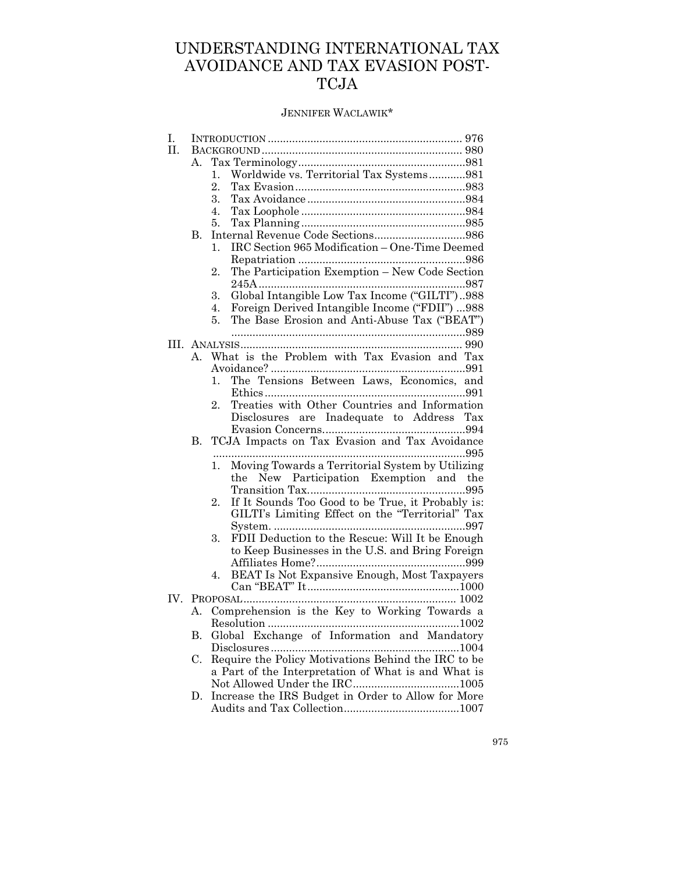## UNDERSTANDING INTERNATIONAL TAX AVOIDANCE AND TAX EVASION POST-TCJA

### JENNIFER WACLAWIK\*

| I.  |             |                                                         |
|-----|-------------|---------------------------------------------------------|
| II. |             |                                                         |
|     | А.          |                                                         |
|     |             | Worldwide vs. Territorial Tax Systems981<br>1.          |
|     |             | 2.                                                      |
|     |             | 3.                                                      |
|     |             | 4.                                                      |
|     |             | 5.                                                      |
|     | В.          |                                                         |
|     |             | IRC Section 965 Modification - One-Time Deemed<br>1.    |
|     |             |                                                         |
|     |             | The Participation Exemption - New Code Section<br>2.    |
|     |             |                                                         |
|     |             | Global Intangible Low Tax Income ("GILTI")988<br>3.     |
|     |             | Foreign Derived Intangible Income ("FDII")  988<br>4.   |
|     |             | The Base Erosion and Anti-Abuse Tax ("BEAT")<br>5.      |
|     |             |                                                         |
|     |             |                                                         |
|     | $A_{\cdot}$ | What is the Problem with Tax Evasion and Tax            |
|     |             |                                                         |
|     |             | The Tensions Between Laws, Economics, and<br>1.         |
|     |             |                                                         |
|     |             | Treaties with Other Countries and Information<br>2.     |
|     |             | Disclosures are Inadequate to Address Tax               |
|     |             |                                                         |
|     | В.          | TCJA Impacts on Tax Evasion and Tax Avoidance           |
|     |             |                                                         |
|     |             | Moving Towards a Territorial System by Utilizing<br>1.  |
|     |             | New Participation Exemption and the<br>the              |
|     |             |                                                         |
|     |             | If It Sounds Too Good to be True, it Probably is:<br>2. |
|     |             | GILTI's Limiting Effect on the "Territorial" Tax        |
|     |             |                                                         |
|     |             | FDII Deduction to the Rescue: Will It be Enough<br>3.   |
|     |             | to Keep Businesses in the U.S. and Bring Foreign        |
|     |             |                                                         |
|     |             | BEAT Is Not Expansive Enough, Most Taxpayers<br>4.      |
|     |             |                                                         |
| IV. |             |                                                         |
|     | А.          | Comprehension is the Key to Working Towards a           |
|     |             |                                                         |
|     |             |                                                         |
|     | В.          | Global Exchange of Information and Mandatory            |
|     |             |                                                         |
|     | C.          | Require the Policy Motivations Behind the IRC to be     |
|     |             | a Part of the Interpretation of What is and What is     |
|     |             |                                                         |
|     | D.          | Increase the IRS Budget in Order to Allow for More      |
|     |             |                                                         |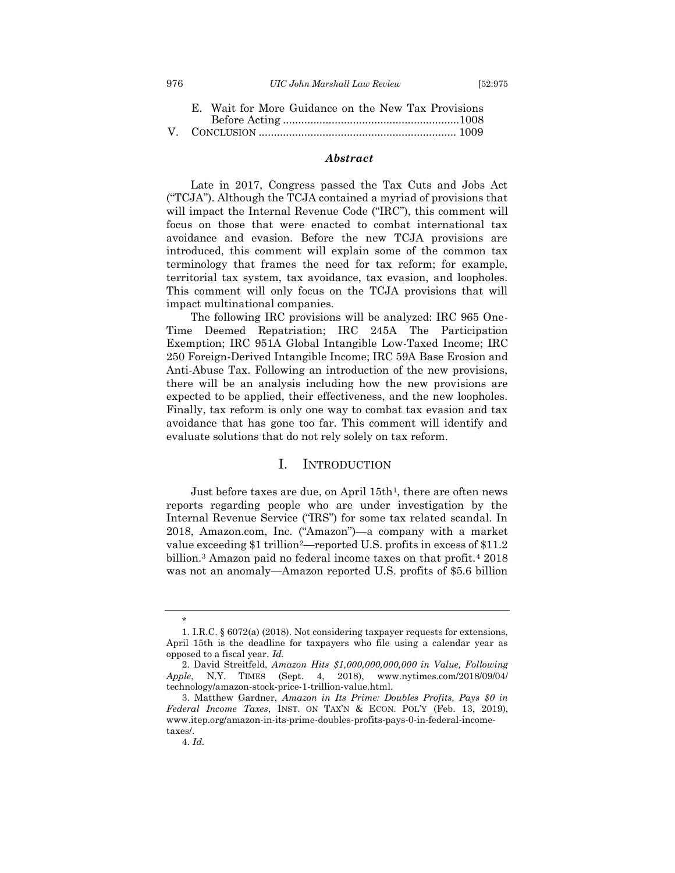#### 976 *UIC John Marshall Law Review* [52:975

|  | E. Wait for More Guidance on the New Tax Provisions |  |
|--|-----------------------------------------------------|--|
|  |                                                     |  |
|  |                                                     |  |

#### *Abstract*

Late in 2017, Congress passed the Tax Cuts and Jobs Act ("TCJA"). Although the TCJA contained a myriad of provisions that will impact the Internal Revenue Code ("IRC"), this comment will focus on those that were enacted to combat international tax avoidance and evasion. Before the new TCJA provisions are introduced, this comment will explain some of the common tax terminology that frames the need for tax reform; for example, territorial tax system, tax avoidance, tax evasion, and loopholes. This comment will only focus on the TCJA provisions that will impact multinational companies.

The following IRC provisions will be analyzed: IRC 965 One-Time Deemed Repatriation; IRC 245A The Participation Exemption; IRC 951A Global Intangible Low-Taxed Income; IRC 250 Foreign-Derived Intangible Income; IRC 59A Base Erosion and Anti-Abuse Tax. Following an introduction of the new provisions, there will be an analysis including how the new provisions are expected to be applied, their effectiveness, and the new loopholes. Finally, tax reform is only one way to combat tax evasion and tax avoidance that has gone too far. This comment will identify and evaluate solutions that do not rely solely on tax reform.

#### <span id="page-2-1"></span>I. INTRODUCTION

<span id="page-2-0"></span>Just before taxes are due, on April  $15th<sup>1</sup>$ , there are often news reports regarding people who are under investigation by the Internal Revenue Service ("IRS") for some tax related scandal. In 2018, Amazon.com, Inc. ("Amazon")—a company with a market value exceeding \$1 trillion<sup>2</sup>—reported U.S. profits in excess of \$11.2 billion.<sup>3</sup> Amazon paid no federal income taxes on that profit.<sup>4</sup> 2018 was not an anomaly—Amazon reported U.S. profits of \$5.6 billion

<span id="page-2-2"></span>\*

<sup>1.</sup> I.R.C. § 6072(a) (2018). Not considering taxpayer requests for extensions, April 15th is the deadline for taxpayers who file using a calendar year as opposed to a fiscal year. *Id.*

<sup>2.</sup> David Streitfeld, *Amazon Hits \$1,000,000,000,000 in Value, Following Apple*, N.Y. TIMES (Sept. 4, 2018), www.nytimes.com/2018/09/04/ technology/amazon-stock-price-1-trillion-value.html.

<sup>3.</sup> Matthew Gardner, *Amazon in Its Prime: Doubles Profits, Pays \$0 in Federal Income Taxes*, INST. ON TAX'N & ECON. POL'Y (Feb. 13, 2019), www.itep.org/amazon-in-its-prime-doubles-profits-pays-0-in-federal-incometaxes/.

<sup>4.</sup> *Id.*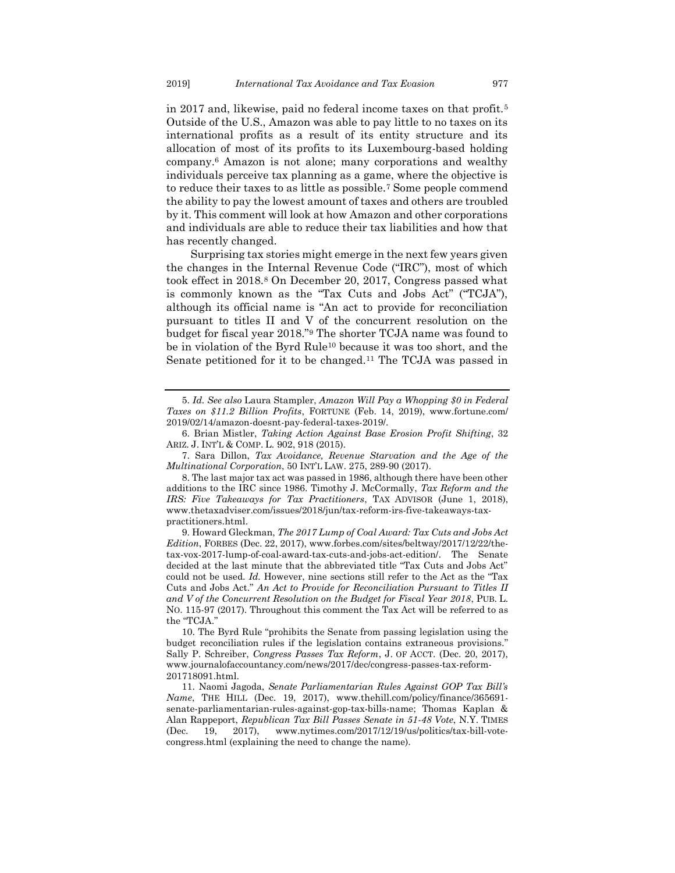in 2017 and, likewise, paid no federal income taxes on that profit.<sup>5</sup> Outside of the U.S., Amazon was able to pay little to no taxes on its international profits as a result of its entity structure and its allocation of most of its profits to its Luxembourg-based holding company.<sup>6</sup> Amazon is not alone; many corporations and wealthy individuals perceive tax planning as a game, where the objective is to reduce their taxes to as little as possible.<sup>7</sup> Some people commend the ability to pay the lowest amount of taxes and others are troubled by it. This comment will look at how Amazon and other corporations and individuals are able to reduce their tax liabilities and how that has recently changed.

Surprising tax stories might emerge in the next few years given the changes in the Internal Revenue Code ("IRC"), most of which took effect in 2018.<sup>8</sup> On December 20, 2017, Congress passed what is commonly known as the "Tax Cuts and Jobs Act" ("TCJA"), although its official name is "An act to provide for reconciliation pursuant to titles II and V of the concurrent resolution on the budget for fiscal year 2018."<sup>9</sup> The shorter TCJA name was found to be in violation of the Byrd Rule<sup>10</sup> because it was too short, and the Senate petitioned for it to be changed.<sup>11</sup> The TCJA was passed in

<sup>5.</sup> *Id. See also* Laura Stampler, *Amazon Will Pay a Whopping \$0 in Federal Taxes on \$11.2 Billion Profits*, FORTUNE (Feb. 14, 2019), www.fortune.com/ 2019/02/14/amazon-doesnt-pay-federal-taxes-2019/.

<sup>6.</sup> Brian Mistler, *Taking Action Against Base Erosion Profit Shifting*, 32 ARIZ. J. INT'L & COMP. L. 902, 918 (2015).

<sup>7.</sup> Sara Dillon, *Tax Avoidance, Revenue Starvation and the Age of the Multinational Corporation*, 50 INT'L LAW. 275, 289-90 (2017).

<sup>8.</sup> The last major tax act was passed in 1986, although there have been other additions to the IRC since 1986. Timothy J. McCormally, *Tax Reform and the IRS: Five Takeaways for Tax Practitioners*, TAX ADVISOR (June 1, 2018), www.thetaxadviser.com/issues/2018/jun/tax-reform-irs-five-takeaways-taxpractitioners.html.

<sup>9.</sup> Howard Gleckman, *The 2017 Lump of Coal Award: Tax Cuts and Jobs Act Edition*, FORBES (Dec. 22, 2017), www.forbes.com/sites/beltway/2017/12/22/thetax-vox-2017-lump-of-coal-award-tax-cuts-and-jobs-act-edition/. The Senate decided at the last minute that the abbreviated title "Tax Cuts and Jobs Act" could not be used. *Id.* However, nine sections still refer to the Act as the "Tax Cuts and Jobs Act." *An Act to Provide for Reconciliation Pursuant to Titles II and V of the Concurrent Resolution on the Budget for Fiscal Year 2018*, PUB. L. NO. 115-97 (2017). Throughout this comment the Tax Act will be referred to as the "TCJA."

<sup>10.</sup> The Byrd Rule "prohibits the Senate from passing legislation using the budget reconciliation rules if the legislation contains extraneous provisions." Sally P. Schreiber, *Congress Passes Tax Reform*, J. OF ACCT. (Dec. 20, 2017), www.journalofaccountancy.com/news/2017/dec/congress-passes-tax-reform-201718091.html.

<sup>11.</sup> Naomi Jagoda, *Senate Parliamentarian Rules Against GOP Tax Bill's Name*, THE HILL (Dec. 19, 2017), www.thehill.com/policy/finance/365691 senate-parliamentarian-rules-against-gop-tax-bills-name; Thomas Kaplan & Alan Rappeport, *Republican Tax Bill Passes Senate in 51-48 Vote*, N.Y. TIMES (Dec. 19, 2017), www.nytimes.com/2017/12/19/us/politics/tax-bill-votecongress.html (explaining the need to change the name).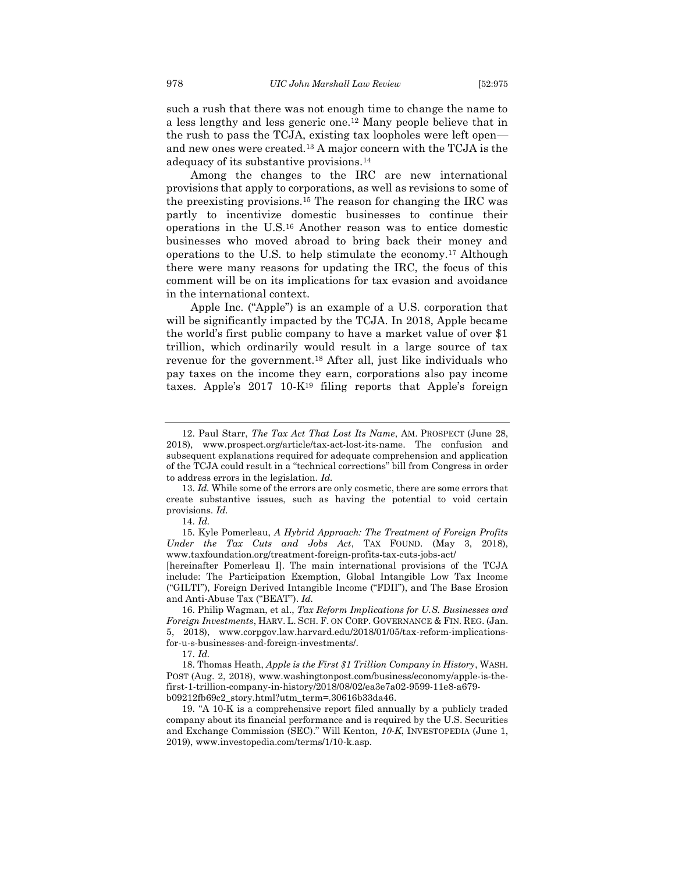such a rush that there was not enough time to change the name to a less lengthy and less generic one.<sup>12</sup> Many people believe that in the rush to pass the TCJA, existing tax loopholes were left open and new ones were created.<sup>13</sup> A major concern with the TCJA is the adequacy of its substantive provisions.<sup>14</sup>

<span id="page-4-1"></span><span id="page-4-0"></span>Among the changes to the IRC are new international provisions that apply to corporations, as well as revisions to some of the preexisting provisions.<sup>15</sup> The reason for changing the IRC was partly to incentivize domestic businesses to continue their operations in the U.S.<sup>16</sup> Another reason was to entice domestic businesses who moved abroad to bring back their money and operations to the U.S. to help stimulate the economy.<sup>17</sup> Although there were many reasons for updating the IRC, the focus of this comment will be on its implications for tax evasion and avoidance in the international context.

Apple Inc. ("Apple") is an example of a U.S. corporation that will be significantly impacted by the TCJA. In 2018, Apple became the world's first public company to have a market value of over \$1 trillion, which ordinarily would result in a large source of tax revenue for the government.<sup>18</sup> After all, just like individuals who pay taxes on the income they earn, corporations also pay income taxes. Apple's 2017 10-K<sup>19</sup> filing reports that Apple's foreign

[hereinafter Pomerleau I]. The main international provisions of the TCJA include: The Participation Exemption, Global Intangible Low Tax Income ("GILTI"), Foreign Derived Intangible Income ("FDII"), and The Base Erosion and Anti-Abuse Tax ("BEAT"). *Id.* 

<sup>12.</sup> Paul Starr, *The Tax Act That Lost Its Name*, AM. PROSPECT (June 28, 2018), www.prospect.org/article/tax-act-lost-its-name. The confusion and subsequent explanations required for adequate comprehension and application of the TCJA could result in a "technical corrections" bill from Congress in order to address errors in the legislation. *Id.*

<sup>13.</sup> *Id.* While some of the errors are only cosmetic, there are some errors that create substantive issues, such as having the potential to void certain provisions. *Id.* 

<sup>14.</sup> *Id.* 

<sup>15.</sup> Kyle Pomerleau, *A Hybrid Approach: The Treatment of Foreign Profits Under the Tax Cuts and Jobs Act*, TAX FOUND. (May 3, 2018), www.taxfoundation.org/treatment-foreign-profits-tax-cuts-jobs-act/

<sup>16.</sup> Philip Wagman, et al., *Tax Reform Implications for U.S. Businesses and Foreign Investments*, HARV. L. SCH. F. ON CORP. GOVERNANCE & FIN. REG. (Jan. 5, 2018), www.corpgov.law.harvard.edu/2018/01/05/tax-reform-implicationsfor-u-s-businesses-and-foreign-investments/.

<sup>17.</sup> *Id.*

<sup>18.</sup> Thomas Heath, *Apple is the First \$1 Trillion Company in History*, WASH. POST (Aug. 2, 2018), www.washingtonpost.com/business/economy/apple-is-thefirst-1-trillion-company-in-history/2018/08/02/ea3e7a02-9599-11e8-a679 b09212fb69c2\_story.html?utm\_term=.30616b33da46.

<sup>19.</sup> "A 10-K is a comprehensive report filed annually by a publicly traded company about its financial performance and is required by the U.S. Securities and Exchange Commission (SEC)." Will Kenton, *10-K*, INVESTOPEDIA (June 1, 2019), www.investopedia.com/terms/1/10-k.asp.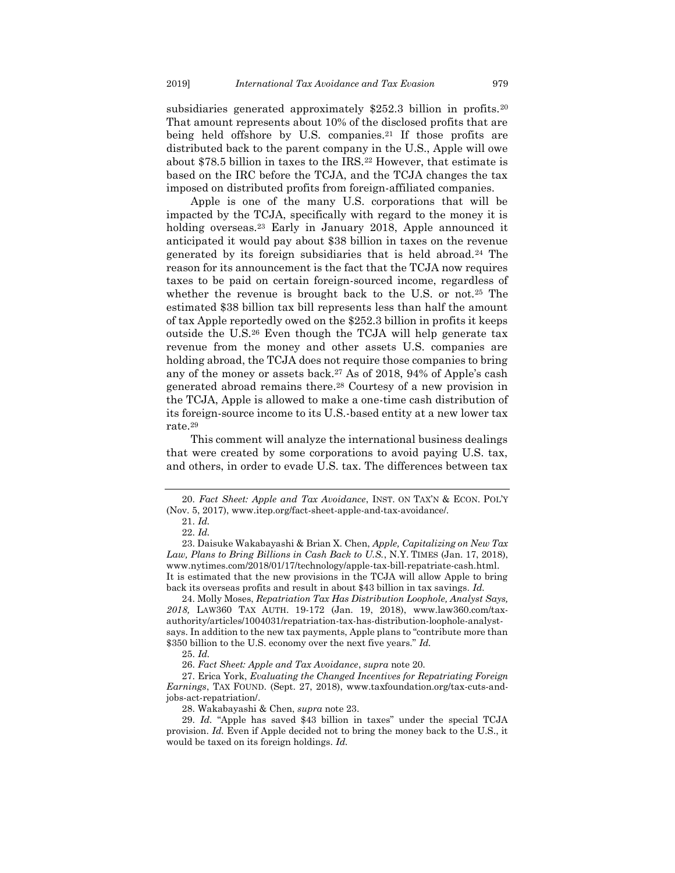<span id="page-5-0"></span>subsidiaries generated approximately \$252.3 billion in profits.<sup>20</sup> That amount represents about 10% of the disclosed profits that are being held offshore by U.S. companies.<sup>21</sup> If those profits are distributed back to the parent company in the U.S., Apple will owe about \$78.5 billion in taxes to the IRS.<sup>22</sup> However, that estimate is based on the IRC before the TCJA, and the TCJA changes the tax imposed on distributed profits from foreign-affiliated companies.

<span id="page-5-1"></span>Apple is one of the many U.S. corporations that will be impacted by the TCJA, specifically with regard to the money it is holding overseas.<sup>23</sup> Early in January 2018, Apple announced it anticipated it would pay about \$38 billion in taxes on the revenue generated by its foreign subsidiaries that is held abroad.<sup>24</sup> The reason for its announcement is the fact that the TCJA now requires taxes to be paid on certain foreign-sourced income, regardless of whether the revenue is brought back to the U.S. or not.<sup>25</sup> The estimated \$38 billion tax bill represents less than half the amount of tax Apple reportedly owed on the \$252.3 billion in profits it keeps outside the U.S.<sup>26</sup> Even though the TCJA will help generate tax revenue from the money and other assets U.S. companies are holding abroad, the TCJA does not require those companies to bring any of the money or assets back.<sup>27</sup> As of 2018, 94% of Apple's cash generated abroad remains there.<sup>28</sup> Courtesy of a new provision in the TCJA, Apple is allowed to make a one-time cash distribution of its foreign-source income to its U.S.-based entity at a new lower tax rate.<sup>29</sup>

This comment will analyze the international business dealings that were created by some corporations to avoid paying U.S. tax, and others, in order to evade U.S. tax. The differences between tax

28. Wakabayashi & Chen, *supra* note [23.](#page-5-1)

<sup>20.</sup> *Fact Sheet: Apple and Tax Avoidance*, INST. ON TAX'N & ECON. POL'Y (Nov. 5, 2017), www.itep.org/fact-sheet-apple-and-tax-avoidance/.

<sup>21.</sup> *Id.*

<sup>22.</sup> *Id.* 

<sup>23.</sup> Daisuke Wakabayashi & Brian X. Chen, *Apple, Capitalizing on New Tax Law, Plans to Bring Billions in Cash Back to U.S.*, N.Y. TIMES (Jan. 17, 2018), www.nytimes.com/2018/01/17/technology/apple-tax-bill-repatriate-cash.html. It is estimated that the new provisions in the TCJA will allow Apple to bring back its overseas profits and result in about \$43 billion in tax savings. *Id.* 

<sup>24.</sup> Molly Moses, *Repatriation Tax Has Distribution Loophole, Analyst Says, 2018,* LAW360 TAX AUTH. 19-172 (Jan. 19, 2018), www.law360.com/taxauthority/articles/1004031/repatriation-tax-has-distribution-loophole-analystsays. In addition to the new tax payments, Apple plans to "contribute more than \$350 billion to the U.S. economy over the next five years." *Id.*

<sup>25.</sup> *Id.* 

<sup>26.</sup> *Fact Sheet: Apple and Tax Avoidance*, *supra* note [20.](#page-5-0)

<sup>27.</sup> Erica York, *Evaluating the Changed Incentives for Repatriating Foreign Earnings*, TAX FOUND. (Sept. 27, 2018), www.taxfoundation.org/tax-cuts-andjobs-act-repatriation/.

<sup>29.</sup> *Id.* "Apple has saved \$43 billion in taxes" under the special TCJA provision. *Id.* Even if Apple decided not to bring the money back to the U.S., it would be taxed on its foreign holdings. *Id.*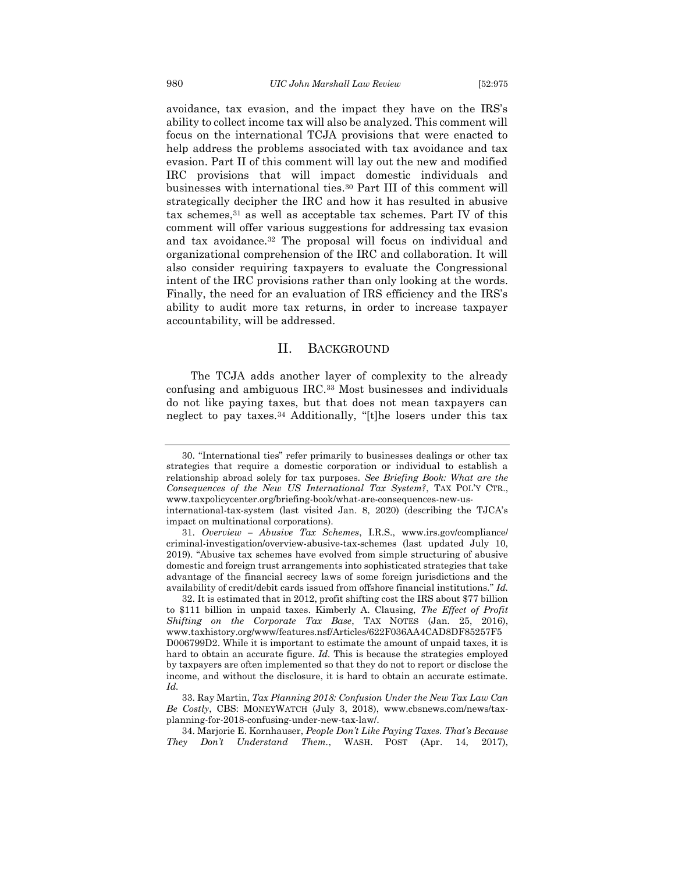avoidance, tax evasion, and the impact they have on the IRS's ability to collect income tax will also be analyzed. This comment will focus on the international TCJA provisions that were enacted to help address the problems associated with tax avoidance and tax evasion. Part II of this comment will lay out the new and modified IRC provisions that will impact domestic individuals and businesses with international ties. <sup>30</sup> Part III of this comment will strategically decipher the IRC and how it has resulted in abusive tax schemes, <sup>31</sup> as well as acceptable tax schemes. Part IV of this comment will offer various suggestions for addressing tax evasion and tax avoidance.<sup>32</sup> The proposal will focus on individual and organizational comprehension of the IRC and collaboration. It will also consider requiring taxpayers to evaluate the Congressional intent of the IRC provisions rather than only looking at the words. Finally, the need for an evaluation of IRS efficiency and the IRS's ability to audit more tax returns, in order to increase taxpayer accountability, will be addressed.

#### <span id="page-6-0"></span>II. BACKGROUND

The TCJA adds another layer of complexity to the already confusing and ambiguous IRC.<sup>33</sup> Most businesses and individuals do not like paying taxes, but that does not mean taxpayers can neglect to pay taxes.<sup>34</sup> Additionally, "[t]he losers under this tax

<sup>30.</sup> "International ties" refer primarily to businesses dealings or other tax strategies that require a domestic corporation or individual to establish a relationship abroad solely for tax purposes. *See Briefing Book: What are the Consequences of the New US International Tax System?*, TAX POL'Y CTR., www.taxpolicycenter.org/briefing-book/what-are-consequences-new-us-

international-tax-system (last visited Jan. 8, 2020) (describing the TJCA's impact on multinational corporations).

<sup>31.</sup> *Overview – Abusive Tax Schemes*, I.R.S., www.irs.gov/compliance/ criminal-investigation/overview-abusive-tax-schemes (last updated July 10, 2019). "Abusive tax schemes have evolved from simple structuring of abusive domestic and foreign trust arrangements into sophisticated strategies that take advantage of the financial secrecy laws of some foreign jurisdictions and the availability of credit/debit cards issued from offshore financial institutions." *Id.* 

<sup>32.</sup> It is estimated that in 2012, profit shifting cost the IRS about \$77 billion to \$111 billion in unpaid taxes. Kimberly A. Clausing, *The Effect of Profit Shifting on the Corporate Tax Base*, TAX NOTES (Jan. 25, 2016), www.taxhistory.org/www/features.nsf/Articles/622F036AA4CAD8DF85257F5 D006799D2. While it is important to estimate the amount of unpaid taxes, it is hard to obtain an accurate figure. *Id.* This is because the strategies employed by taxpayers are often implemented so that they do not to report or disclose the income, and without the disclosure, it is hard to obtain an accurate estimate. *Id.* 

<sup>33.</sup> Ray Martin, *Tax Planning 2018: Confusion Under the New Tax Law Can Be Costly*, CBS: MONEYWATCH (July 3, 2018), www.cbsnews.com/news/taxplanning-for-2018-confusing-under-new-tax-law/.

<sup>34.</sup> Marjorie E. Kornhauser, *People Don't Like Paying Taxes. That's Because They Don't Understand Them.*, WASH. POST (Apr. 14, 2017),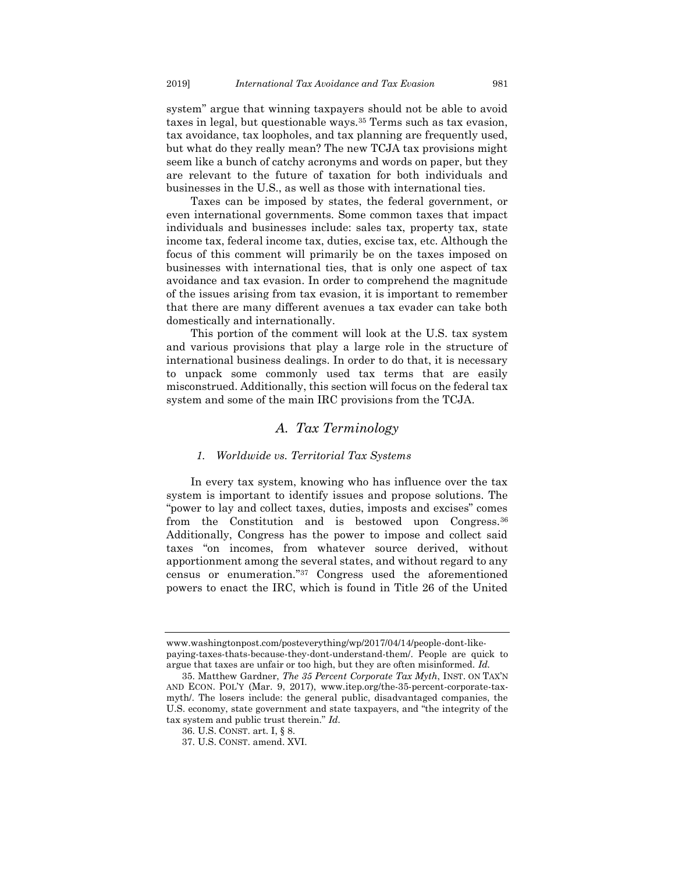system" argue that winning taxpayers should not be able to avoid taxes in legal, but questionable ways.<sup>35</sup> Terms such as tax evasion, tax avoidance, tax loopholes, and tax planning are frequently used, but what do they really mean? The new TCJA tax provisions might seem like a bunch of catchy acronyms and words on paper, but they are relevant to the future of taxation for both individuals and businesses in the U.S., as well as those with international ties.

Taxes can be imposed by states, the federal government, or even international governments. Some common taxes that impact individuals and businesses include: sales tax, property tax, state income tax, federal income tax, duties, excise tax, etc. Although the focus of this comment will primarily be on the taxes imposed on businesses with international ties, that is only one aspect of tax avoidance and tax evasion. In order to comprehend the magnitude of the issues arising from tax evasion, it is important to remember that there are many different avenues a tax evader can take both domestically and internationally.

This portion of the comment will look at the U.S. tax system and various provisions that play a large role in the structure of international business dealings. In order to do that, it is necessary to unpack some commonly used tax terms that are easily misconstrued. Additionally, this section will focus on the federal tax system and some of the main IRC provisions from the TCJA.

### *A. Tax Terminology*

#### <span id="page-7-0"></span>*1. Worldwide vs. Territorial Tax Systems*

<span id="page-7-1"></span>In every tax system, knowing who has influence over the tax system is important to identify issues and propose solutions. The "power to lay and collect taxes, duties, imposts and excises" comes from the Constitution and is bestowed upon Congress.<sup>36</sup> Additionally, Congress has the power to impose and collect said taxes "on incomes, from whatever source derived, without apportionment among the several states, and without regard to any census or enumeration." <sup>37</sup> Congress used the aforementioned powers to enact the IRC, which is found in Title 26 of the United

www.washingtonpost.com/posteverything/wp/2017/04/14/people-dont-likepaying-taxes-thats-because-they-dont-understand-them/. People are quick to argue that taxes are unfair or too high, but they are often misinformed. *Id.*

<sup>35.</sup> Matthew Gardner, *The 35 Percent Corporate Tax Myth*, INST. ON TAX'N AND ECON. POL'Y (Mar. 9, 2017), www.itep.org/the-35-percent-corporate-taxmyth/. The losers include: the general public, disadvantaged companies, the U.S. economy, state government and state taxpayers, and "the integrity of the tax system and public trust therein." *Id.*

<sup>36.</sup> U.S. CONST. art. I, § 8.

<sup>37.</sup> U.S. CONST. amend. XVI.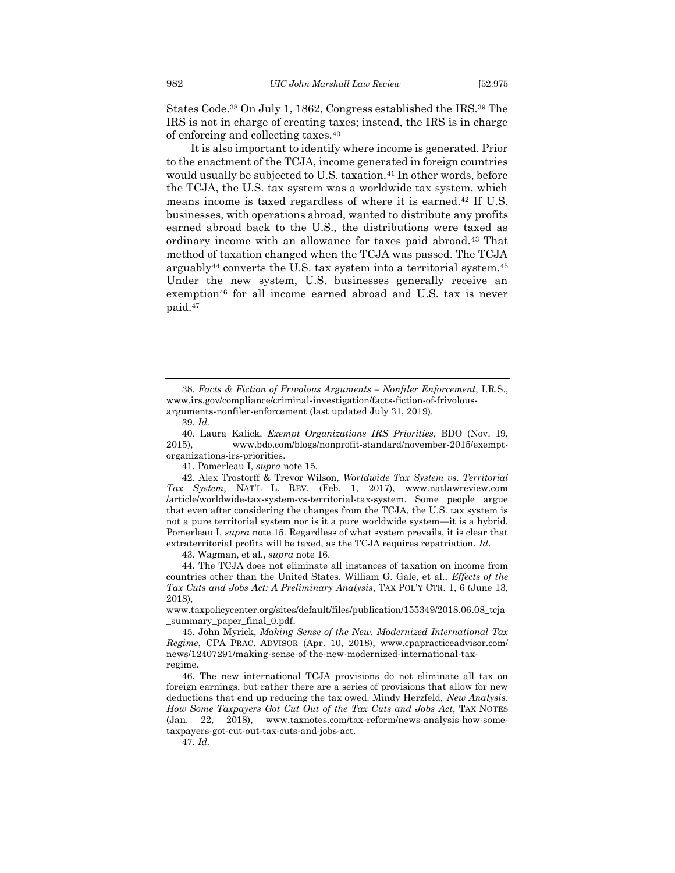States Code.<sup>38</sup> On July 1, 1862, Congress established the IRS.<sup>39</sup> The IRS is not in charge of creating taxes; instead, the IRS is in charge of enforcing and collecting taxes.<sup>40</sup>

It is also important to identify where income is generated. Prior to the enactment of the TCJA, income generated in foreign countries would usually be subjected to U.S. taxation.<sup>41</sup> In other words, before the TCJA, the U.S. tax system was a worldwide tax system, which means income is taxed regardless of where it is earned.<sup>42</sup> If U.S. businesses, with operations abroad, wanted to distribute any profits earned abroad back to the U.S., the distributions were taxed as ordinary income with an allowance for taxes paid abroad.<sup>43</sup> That method of taxation changed when the TCJA was passed. The TCJA arguably<sup>44</sup> converts the U.S. tax system into a territorial system.<sup>45</sup> Under the new system, U.S. businesses generally receive an exemption<sup>46</sup> for all income earned abroad and U.S. tax is never paid.<sup>47</sup>

41. Pomerleau I, *supra* not[e 15.](#page-4-0)

42. Alex Trostorff & Trevor Wilson, *Worldwide Tax System vs. Territorial Tax System*, NAT'L L. REV. (Feb. 1, 2017), www.natlawreview.com /article/worldwide-tax-system-vs-territorial-tax-system. Some people argue that even after considering the changes from the TCJA, the U.S. tax system is not a pure territorial system nor is it a pure worldwide system—it is a hybrid. Pomerleau I, *supra* note [15](#page-4-0)*.* Regardless of what system prevails, it is clear that extraterritorial profits will be taxed, as the TCJA requires repatriation. *Id.*

43. Wagman, et al., *supra* not[e 16.](#page-4-1)

44. The TCJA does not eliminate all instances of taxation on income from countries other than the United States. William G. Gale, et al., *Effects of the Tax Cuts and Jobs Act: A Preliminary Analysis*, TAX POL'Y CTR. 1, 6 (June 13, 2018),

www.taxpolicycenter.org/sites/default/files/publication/155349/2018.06.08\_tcja \_summary\_paper\_final\_0.pdf.

45. John Myrick, *Making Sense of the New, Modernized International Tax Regime*, CPA PRAC. ADVISOR (Apr. 10, 2018), www.cpapracticeadvisor.com/ news/12407291/making-sense-of-the-new-modernized-international-taxregime.

46. The new international TCJA provisions do not eliminate all tax on foreign earnings, but rather there are a series of provisions that allow for new deductions that end up reducing the tax owed. Mindy Herzfeld, *New Analysis: How Some Taxpayers Got Cut Out of the Tax Cuts and Jobs Act*, TAX NOTES (Jan. 22, 2018), www.taxnotes.com/tax-reform/news-analysis-how-sometaxpayers-got-cut-out-tax-cuts-and-jobs-act.

47. *Id.*

<sup>38.</sup> *Facts & Fiction of Frivolous Arguments – Nonfiler Enforcement*, I.R.S., www.irs.gov/compliance/criminal-investigation/facts-fiction-of-frivolousarguments-nonfiler-enforcement (last updated July 31, 2019).

<sup>39.</sup> *Id.*

<sup>40.</sup> Laura Kalick, *Exempt Organizations IRS Priorities*, BDO (Nov. 19, 2015), www.bdo.com/blogs/nonprofit-standard/november-2015/exemptorganizations-irs-priorities.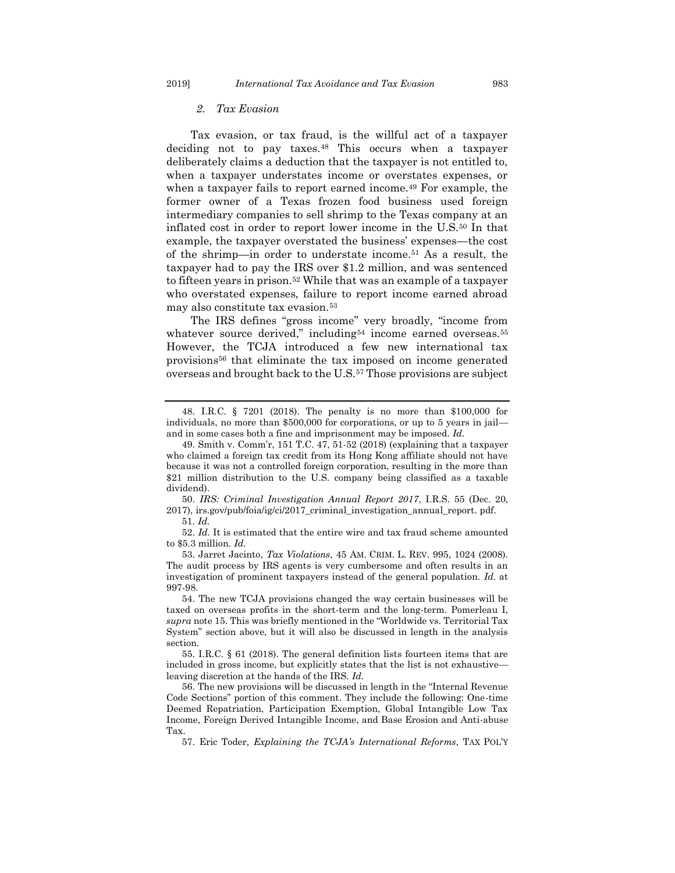#### *2. Tax Evasion*

Tax evasion, or tax fraud, is the willful act of a taxpayer deciding not to pay taxes.<sup>48</sup> This occurs when a taxpayer deliberately claims a deduction that the taxpayer is not entitled to, when a taxpayer understates income or overstates expenses, or when a taxpayer fails to report earned income.<sup>49</sup> For example, the former owner of a Texas frozen food business used foreign intermediary companies to sell shrimp to the Texas company at an inflated cost in order to report lower income in the U.S.<sup>50</sup> In that example, the taxpayer overstated the business' expenses—the cost of the shrimp—in order to understate income.<sup>51</sup> As a result, the taxpayer had to pay the IRS over \$1.2 million, and was sentenced to fifteen years in prison.<sup>52</sup> While that was an example of a taxpayer who overstated expenses, failure to report income earned abroad may also constitute tax evasion.<sup>53</sup>

The IRS defines "gross income" very broadly, "income from whatever source derived," including<sup>54</sup> income earned overseas.<sup>55</sup> However, the TCJA introduced a few new international tax provisions<sup>56</sup> that eliminate the tax imposed on income generated overseas and brought back to the U.S.<sup>57</sup> Those provisions are subject

50. *IRS: Criminal Investigation Annual Report 2017*, I.R.S. 55 (Dec. 20, 2017), irs.gov/pub/foia/ig/ci/2017\_criminal\_investigation\_annual\_report. pdf.

52. *Id.* It is estimated that the entire wire and tax fraud scheme amounted to \$5.3 million. *Id.* 

<span id="page-9-0"></span>

<span id="page-9-1"></span><sup>48.</sup> I.R.C. § 7201 (2018). The penalty is no more than \$100,000 for individuals, no more than \$500,000 for corporations, or up to 5 years in jail and in some cases both a fine and imprisonment may be imposed. *Id.*

<sup>49.</sup> Smith v. Comm'r, 151 T.C. 47, 51-52 (2018) (explaining that a taxpayer who claimed a foreign tax credit from its Hong Kong affiliate should not have because it was not a controlled foreign corporation, resulting in the more than \$21 million distribution to the U.S. company being classified as a taxable dividend).

<sup>51.</sup> *Id.*

<sup>53.</sup> Jarret Jacinto, *Tax Violations*, 45 AM. CRIM. L. REV. 995, 1024 (2008). The audit process by IRS agents is very cumbersome and often results in an investigation of prominent taxpayers instead of the general population. *Id.* at 997-98.

<sup>54.</sup> The new TCJA provisions changed the way certain businesses will be taxed on overseas profits in the short-term and the long-term. Pomerleau I, *supra* not[e 15](#page-4-0). This was briefly mentioned in the "Worldwide vs. Territorial Tax System" section above, but it will also be discussed in length in the analysis section.

<sup>55.</sup> I.R.C. § 61 (2018). The general definition lists fourteen items that are included in gross income, but explicitly states that the list is not exhaustive leaving discretion at the hands of the IRS. *Id.* 

<sup>56.</sup> The new provisions will be discussed in length in the "Internal Revenue Code Sections" portion of this comment. They include the following: One-time Deemed Repatriation, Participation Exemption, Global Intangible Low Tax Income, Foreign Derived Intangible Income, and Base Erosion and Anti-abuse Tax.

<sup>57.</sup> Eric Toder, *Explaining the TCJA's International Reforms*, TAX POL'Y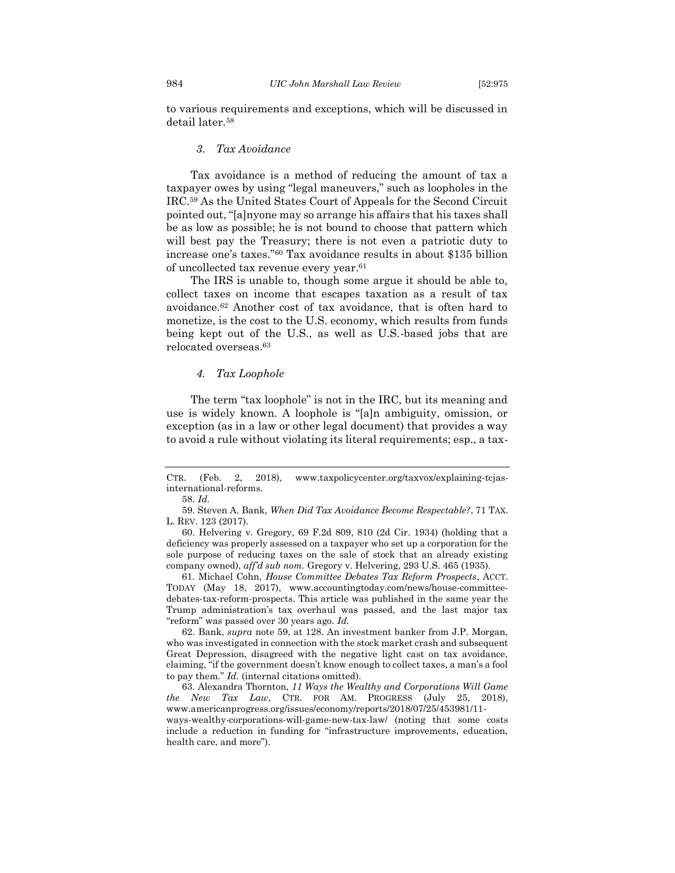to various requirements and exceptions, which will be discussed in detail later.<sup>58</sup>

#### *3. Tax Avoidance*

<span id="page-10-0"></span>Tax avoidance is a method of reducing the amount of tax a taxpayer owes by using "legal maneuvers," such as loopholes in the IRC.<sup>59</sup> As the United States Court of Appeals for the Second Circuit pointed out, "[a]nyone may so arrange his affairs that his taxes shall be as low as possible; he is not bound to choose that pattern which will best pay the Treasury; there is not even a patriotic duty to increase one's taxes."<sup>60</sup> Tax avoidance results in about \$135 billion of uncollected tax revenue every year.<sup>61</sup>

The IRS is unable to, though some argue it should be able to, collect taxes on income that escapes taxation as a result of tax avoidance.<sup>62</sup> Another cost of tax avoidance, that is often hard to monetize, is the cost to the U.S. economy, which results from funds being kept out of the U.S., as well as U.S.-based jobs that are relocated overseas.<sup>63</sup>

#### <span id="page-10-2"></span>*4. Tax Loophole*

<span id="page-10-1"></span>The term "tax loophole" is not in the IRC, but its meaning and use is widely known. A loophole is "[a]n ambiguity, omission, or exception (as in a law or other legal document) that provides a way to avoid a rule without violating its literal requirements; esp., a tax-

58. *Id.*

61. Michael Cohn, *House Committee Debates Tax Reform Prospects*, ACCT. TODAY (May 18, 2017), www.accountingtoday.com/news/house-committeedebates-tax-reform-prospects. This article was published in the same year the Trump administration's tax overhaul was passed, and the last major tax "reform" was passed over 30 years ago. *Id.*

62. Bank, *supra* note 59, at 128. An investment banker from J.P. Morgan, who was investigated in connection with the stock market crash and subsequent Great Depression, disagreed with the negative light cast on tax avoidance, claiming, "if the government doesn't know enough to collect taxes, a man's a fool to pay them." *Id.* (internal citations omitted).

63. Alexandra Thornton, *11 Ways the Wealthy and Corporations Will Game the New Tax Law*, CTR. FOR AM. PROGRESS (July 25, 2018), www.americanprogress.org/issues/economy/reports/2018/07/25/453981/11-

ways-wealthy-corporations-will-game-new-tax-law/ (noting that some costs include a reduction in funding for "infrastructure improvements, education, health care, and more").

CTR. (Feb. 2, 2018), www.taxpolicycenter.org/taxvox/explaining-tcjasinternational-reforms.

<sup>59.</sup> Steven A. Bank, *When Did Tax Avoidance Become Respectable?*, 71 TAX. L. REV. 123 (2017).

<sup>60.</sup> Helvering v. Gregory, 69 F.2d 809, 810 (2d Cir. 1934) (holding that a deficiency was properly assessed on a taxpayer who set up a corporation for the sole purpose of reducing taxes on the sale of stock that an already existing company owned), *aff'd sub nom.* Gregory v. Helvering, 293 U.S. 465 (1935).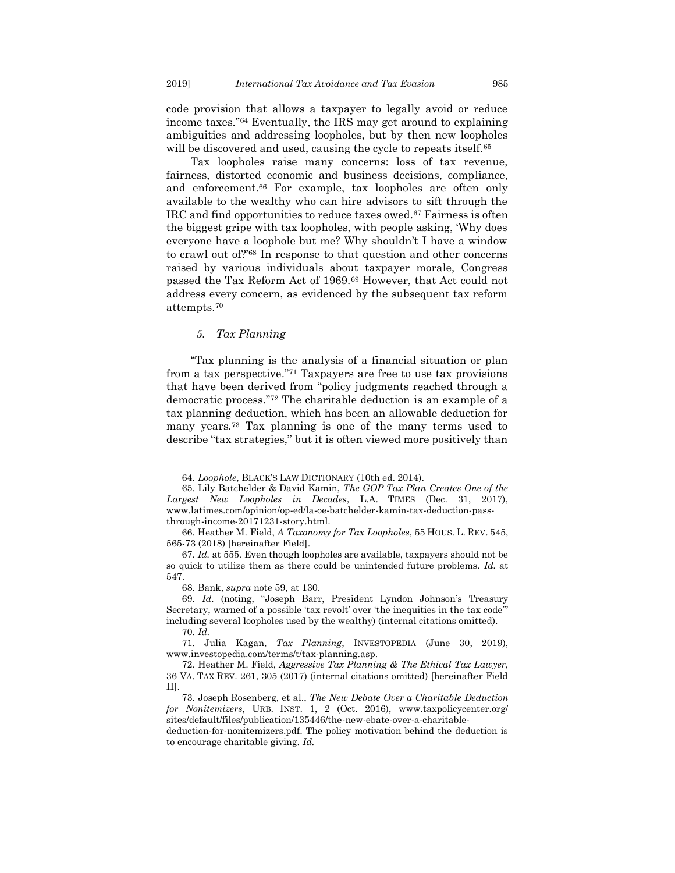code provision that allows a taxpayer to legally avoid or reduce income taxes."<sup>64</sup> Eventually, the IRS may get around to explaining ambiguities and addressing loopholes, but by then new loopholes will be discovered and used, causing the cycle to repeats itself.<sup>65</sup>

Tax loopholes raise many concerns: loss of tax revenue, fairness, distorted economic and business decisions, compliance, and enforcement.<sup>66</sup> For example, tax loopholes are often only available to the wealthy who can hire advisors to sift through the IRC and find opportunities to reduce taxes owed.<sup>67</sup> Fairness is often the biggest gripe with tax loopholes, with people asking, 'Why does everyone have a loophole but me? Why shouldn't I have a window to crawl out of?'<sup>68</sup> In response to that question and other concerns raised by various individuals about taxpayer morale, Congress passed the Tax Reform Act of 1969.<sup>69</sup> However, that Act could not address every concern, as evidenced by the subsequent tax reform attempts.<sup>70</sup>

#### *5. Tax Planning*

<span id="page-11-0"></span>"Tax planning is the analysis of a financial situation or plan from a tax perspective."<sup>71</sup> Taxpayers are free to use tax provisions that have been derived from "policy judgments reached through a democratic process."<sup>72</sup> The charitable deduction is an example of a tax planning deduction, which has been an allowable deduction for many years.<sup>73</sup> Tax planning is one of the many terms used to describe "tax strategies," but it is often viewed more positively than

<span id="page-11-1"></span>

<sup>64.</sup> *Loophole*, BLACK'S LAW DICTIONARY (10th ed. 2014).

<sup>65.</sup> Lily Batchelder & David Kamin, *The GOP Tax Plan Creates One of the Largest New Loopholes in Decades*, L.A. TIMES (Dec. 31, 2017), www.latimes.com/opinion/op-ed/la-oe-batchelder-kamin-tax-deduction-passthrough-income-20171231-story.html.

<sup>66.</sup> Heather M. Field, *A Taxonomy for Tax Loopholes*, 55 HOUS. L. REV. 545, 565-73 (2018) [hereinafter Field].

<sup>67.</sup> *Id.* at 555. Even though loopholes are available, taxpayers should not be so quick to utilize them as there could be unintended future problems. *Id.* at 547.

<sup>68.</sup> Bank, *supra* note 59, at 130.

<sup>69.</sup> *Id.* (noting, "Joseph Barr, President Lyndon Johnson's Treasury Secretary, warned of a possible 'tax revolt' over 'the inequities in the tax code'" including several loopholes used by the wealthy) (internal citations omitted).

<sup>70.</sup> *Id.*

<sup>71.</sup> Julia Kagan, *Tax Planning*, INVESTOPEDIA (June 30, 2019), www.investopedia.com/terms/t/tax-planning.asp.

<sup>72.</sup> Heather M. Field, *Aggressive Tax Planning & The Ethical Tax Lawyer*, 36 VA. TAX REV. 261, 305 (2017) (internal citations omitted) [hereinafter Field II].

<sup>73.</sup> Joseph Rosenberg, et al., *The New Debate Over a Charitable Deduction for Nonitemizers*, URB. INST. 1, 2 (Oct. 2016), www.taxpolicycenter.org/ sites/default/files/publication/135446/the-new-ebate-over-a-charitable-

deduction-for-nonitemizers.pdf. The policy motivation behind the deduction is to encourage charitable giving. *Id.*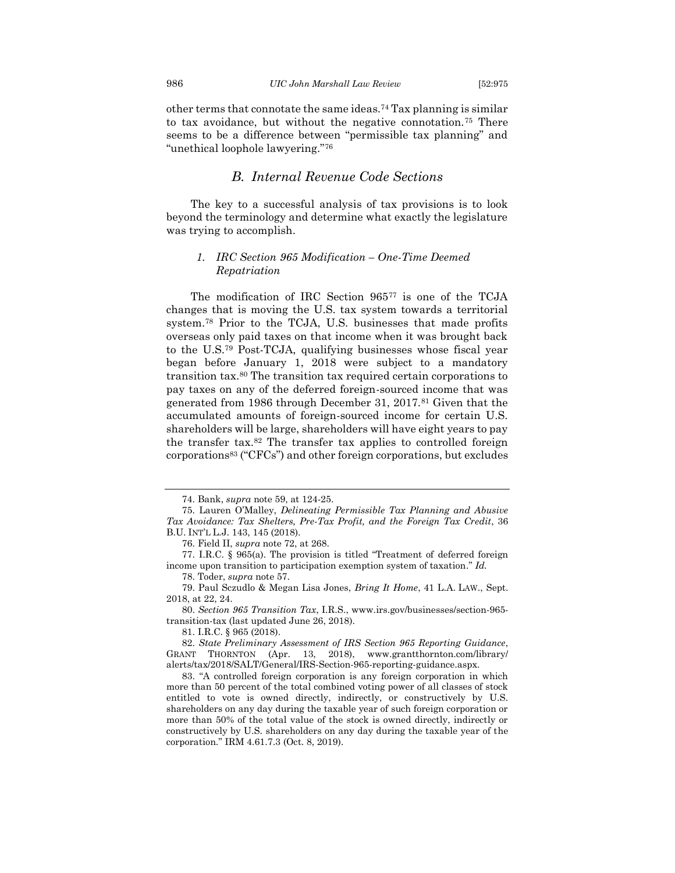other terms that connotate the same ideas.<sup>74</sup> Tax planning is similar to tax avoidance, but without the negative connotation.<sup>75</sup> There seems to be a difference between "permissible tax planning" and "unethical loophole lawyering."<sup>76</sup>

## *B. Internal Revenue Code Sections*

<span id="page-12-0"></span>The key to a successful analysis of tax provisions is to look beyond the terminology and determine what exactly the legislature was trying to accomplish.

#### <span id="page-12-1"></span>*1. IRC Section 965 Modification – One-Time Deemed Repatriation*

The modification of IRC Section 965<sup>77</sup> is one of the TCJA changes that is moving the U.S. tax system towards a territorial system.<sup>78</sup> Prior to the TCJA, U.S. businesses that made profits overseas only paid taxes on that income when it was brought back to the U.S.<sup>79</sup> Post-TCJA, qualifying businesses whose fiscal year began before January 1, 2018 were subject to a mandatory transition tax.<sup>80</sup> The transition tax required certain corporations to pay taxes on any of the deferred foreign-sourced income that was generated from 1986 through December 31, 2017.<sup>81</sup> Given that the accumulated amounts of foreign-sourced income for certain U.S. shareholders will be large, shareholders will have eight years to pay the transfer tax.<sup>82</sup> The transfer tax applies to controlled foreign corporations<sup>83</sup> ("CFCs") and other foreign corporations, but excludes

81. I.R.C. § 965 (2018).

<sup>74.</sup> Bank, *supra* note 59, at 124-25.

<sup>75.</sup> Lauren O'Malley, *Delineating Permissible Tax Planning and Abusive Tax Avoidance: Tax Shelters, Pre-Tax Profit, and the Foreign Tax Credit*, 36 B.U. INT'L L.J. 143, 145 (2018).

<sup>76.</sup> Field II, *supra* note 72, at 268.

<sup>77.</sup> I.R.C. § 965(a). The provision is titled "Treatment of deferred foreign income upon transition to participation exemption system of taxation." *Id.*

<sup>78.</sup> Toder, *supra* note 57.

<sup>79.</sup> Paul Sczudlo & Megan Lisa Jones, *Bring It Home*, 41 L.A. LAW., Sept. 2018, at 22, 24.

<sup>80.</sup> *Section 965 Transition Tax*, I.R.S., www.irs.gov/businesses/section-965 transition-tax (last updated June 26, 2018).

<sup>82.</sup> *State Preliminary Assessment of IRS Section 965 Reporting Guidance*, GRANT THORNTON (Apr. 13, 2018), www.grantthornton.com/library/ alerts/tax/2018/SALT/General/IRS-Section-965-reporting-guidance.aspx.

<sup>83.</sup> "A controlled foreign corporation is any foreign corporation in which more than 50 percent of the total combined voting power of all classes of stock entitled to vote is owned directly, indirectly, or constructively by U.S. shareholders on any day during the taxable year of such foreign corporation or more than 50% of the total value of the stock is owned directly, indirectly or constructively by U.S. shareholders on any day during the taxable year of the corporation." IRM 4.61.7.3 (Oct. 8, 2019).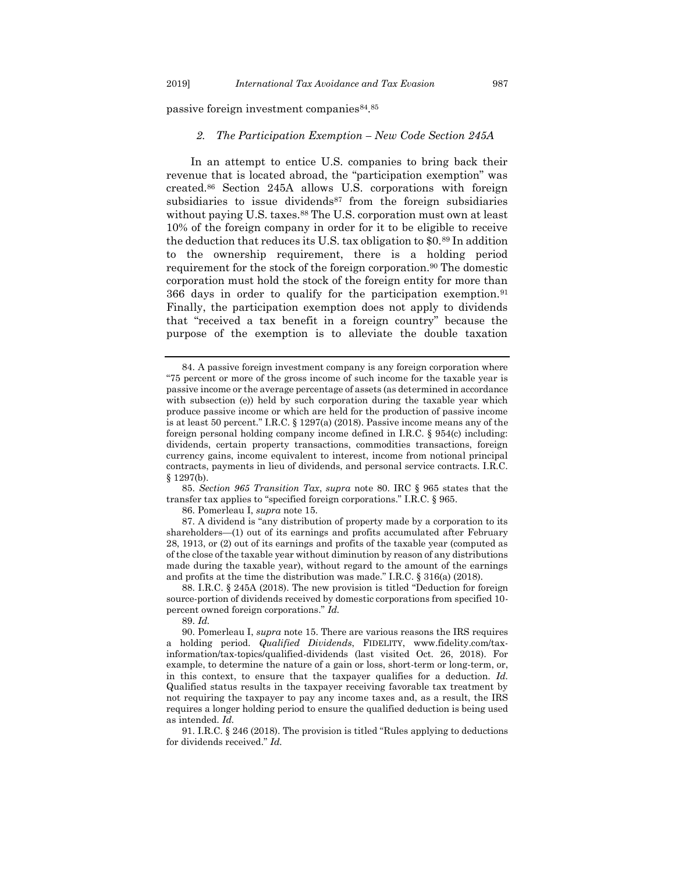<span id="page-13-0"></span>passive foreign investment companies<sup>84</sup>.<sup>85</sup>

#### *2. The Participation Exemption – New Code Section 245A*

In an attempt to entice U.S. companies to bring back their revenue that is located abroad, the "participation exemption" was created.<sup>86</sup> Section 245A allows U.S. corporations with foreign subsidiaries to issue dividends<sup>87</sup> from the foreign subsidiaries without paying U.S. taxes.<sup>88</sup> The U.S. corporation must own at least 10% of the foreign company in order for it to be eligible to receive the deduction that reduces its U.S. tax obligation to \$0.<sup>89</sup> In addition to the ownership requirement, there is a holding period requirement for the stock of the foreign corporation.<sup>90</sup> The domestic corporation must hold the stock of the foreign entity for more than 366 days in order to qualify for the participation exemption.<sup>91</sup> Finally, the participation exemption does not apply to dividends that "received a tax benefit in a foreign country" because the purpose of the exemption is to alleviate the double taxation

85. *Section 965 Transition Tax*, *supra* note 80. IRC § 965 states that the transfer tax applies to "specified foreign corporations." I.R.C. § 965.

86. Pomerleau I, *supra* not[e 15.](#page-4-0)

87. A dividend is "any distribution of property made by a corporation to its shareholders—(1) out of its earnings and profits accumulated after February 28, 1913, or (2) out of its earnings and profits of the taxable year (computed as of the close of the taxable year without diminution by reason of any distributions made during the taxable year), without regard to the amount of the earnings and profits at the time the distribution was made." I.R.C. § 316(a) (2018).

88. I.R.C. § 245A (2018). The new provision is titled "Deduction for foreign source-portion of dividends received by domestic corporations from specified 10 percent owned foreign corporations." *Id.* 

90. Pomerleau I, *supra* not[e 15.](#page-4-0) There are various reasons the IRS requires a holding period. *Qualified Dividends*, FIDELITY, www.fidelity.com/taxinformation/tax-topics/qualified-dividends (last visited Oct. 26, 2018). For example, to determine the nature of a gain or loss, short-term or long-term, or, in this context, to ensure that the taxpayer qualifies for a deduction. *Id.* Qualified status results in the taxpayer receiving favorable tax treatment by not requiring the taxpayer to pay any income taxes and, as a result, the IRS requires a longer holding period to ensure the qualified deduction is being used as intended. *Id.* 

91. I.R.C. § 246 (2018). The provision is titled "Rules applying to deductions for dividends received." *Id.*

<sup>84.</sup> A passive foreign investment company is any foreign corporation where "75 percent or more of the gross income of such income for the taxable year is passive income or the average percentage of assets (as determined in accordance with subsection (e)) held by such corporation during the taxable year which produce passive income or which are held for the production of passive income is at least 50 percent." I.R.C. § 1297(a) (2018). Passive income means any of the foreign personal holding company income defined in I.R.C. § 954(c) including: dividends, certain property transactions, commodities transactions, foreign currency gains, income equivalent to interest, income from notional principal contracts, payments in lieu of dividends, and personal service contracts. I.R.C. § 1297(b).

<sup>89.</sup> *Id.*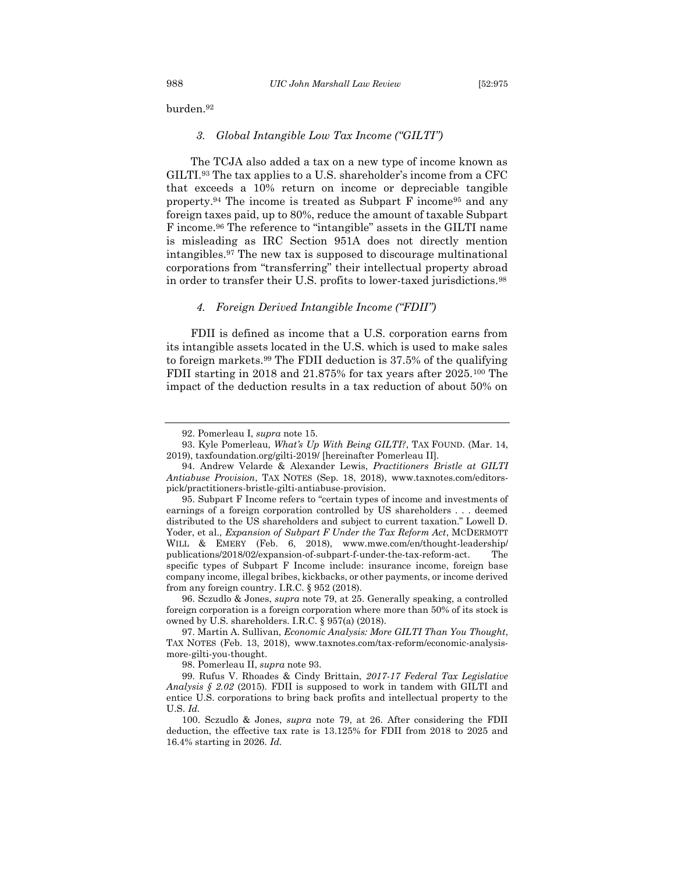<span id="page-14-0"></span>burden.<sup>92</sup>

#### *3. Global Intangible Low Tax Income ("GILTI")*

The TCJA also added a tax on a new type of income known as GILTI.<sup>93</sup> The tax applies to a U.S. shareholder's income from a CFC that exceeds a 10% return on income or depreciable tangible property.<sup>94</sup> The income is treated as Subpart F income<sup>95</sup> and any foreign taxes paid, up to 80%, reduce the amount of taxable Subpart F income.<sup>96</sup> The reference to "intangible" assets in the GILTI name is misleading as IRC Section 951A does not directly mention intangibles.<sup>97</sup> The new tax is supposed to discourage multinational corporations from "transferring" their intellectual property abroad in order to transfer their U.S. profits to lower-taxed jurisdictions.<sup>98</sup>

#### *4. Foreign Derived Intangible Income ("FDII")*

<span id="page-14-1"></span>FDII is defined as income that a U.S. corporation earns from its intangible assets located in the U.S. which is used to make sales to foreign markets.<sup>99</sup> The FDII deduction is 37.5% of the qualifying FDII starting in 2018 and 21.875% for tax years after 2025.<sup>100</sup> The impact of the deduction results in a tax reduction of about 50% on

<sup>92.</sup> Pomerleau I, *supra* not[e 15.](#page-4-0)

<sup>93.</sup> Kyle Pomerleau, *What's Up With Being GILTI?*, TAX FOUND. (Mar. 14, 2019), taxfoundation.org/gilti-2019/ [hereinafter Pomerleau II].

<sup>94.</sup> Andrew Velarde & Alexander Lewis, *Practitioners Bristle at GILTI Antiabuse Provision*, TAX NOTES (Sep. 18, 2018), www.taxnotes.com/editorspick/practitioners-bristle-gilti-antiabuse-provision.

<sup>95.</sup> Subpart F Income refers to "certain types of income and investments of earnings of a foreign corporation controlled by US shareholders . . . deemed distributed to the US shareholders and subject to current taxation." Lowell D. Yoder, et al., *Expansion of Subpart F Under the Tax Reform Act*, MCDERMOTT WILL & EMERY (Feb. 6, 2018), www.mwe.com/en/thought-leadership/ publications/2018/02/expansion-of-subpart-f-under-the-tax-reform-act. The specific types of Subpart F Income include: insurance income, foreign base company income, illegal bribes, kickbacks, or other payments, or income derived from any foreign country. I.R.C. § 952 (2018).

<sup>96.</sup> Sczudlo & Jones, *supra* note 79, at 25. Generally speaking, a controlled foreign corporation is a foreign corporation where more than 50% of its stock is owned by U.S. shareholders. I.R.C. § 957(a) (2018).

<sup>97.</sup> Martin A. Sullivan, *Economic Analysis: More GILTI Than You Thought*, TAX NOTES (Feb. 13, 2018), www.taxnotes.com/tax-reform/economic-analysismore-gilti-you-thought.

<sup>98.</sup> Pomerleau II, *supra* note 93.

<sup>99.</sup> Rufus V. Rhoades & Cindy Brittain, *2017-17 Federal Tax Legislative Analysis § 2.02* (2015)*.* FDII is supposed to work in tandem with GILTI and entice U.S. corporations to bring back profits and intellectual property to the U.S. *Id.*

<sup>100.</sup> Sczudlo & Jones, *supra* note 79, at 26. After considering the FDII deduction, the effective tax rate is 13.125% for FDII from 2018 to 2025 and 16.4% starting in 2026. *Id.*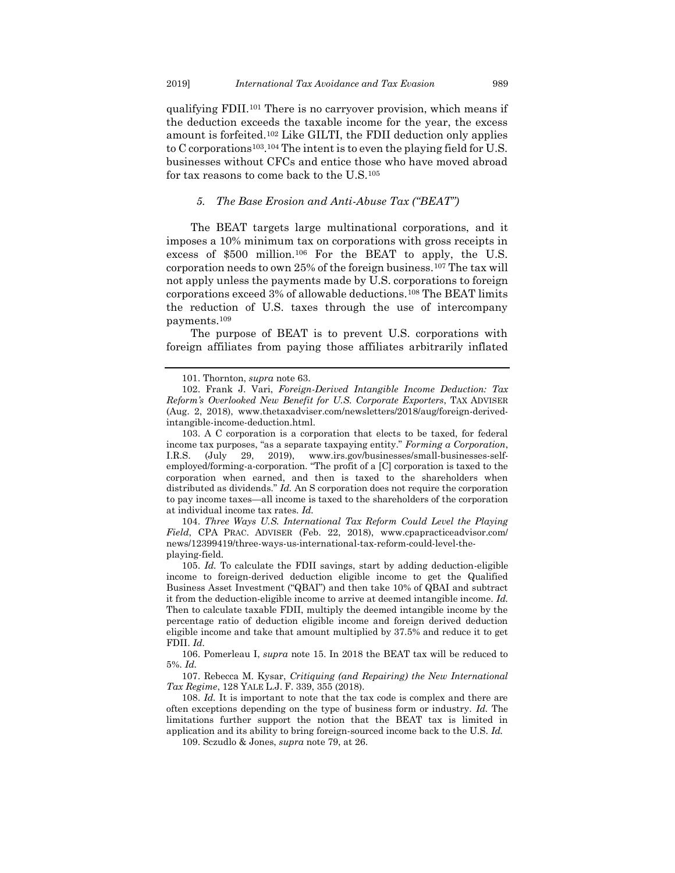qualifying FDII.<sup>101</sup> There is no carryover provision, which means if the deduction exceeds the taxable income for the year, the excess amount is forfeited.<sup>102</sup> Like GILTI, the FDII deduction only applies to C corporations103. <sup>104</sup> The intent is to even the playing field for U.S. businesses without CFCs and entice those who have moved abroad for tax reasons to come back to the U.S.<sup>105</sup>

#### <span id="page-15-2"></span><span id="page-15-1"></span>*5. The Base Erosion and Anti-Abuse Tax ("BEAT")*

<span id="page-15-0"></span>The BEAT targets large multinational corporations, and it imposes a 10% minimum tax on corporations with gross receipts in excess of \$500 million.<sup>106</sup> For the BEAT to apply, the U.S. corporation needs to own 25% of the foreign business.<sup>107</sup> The tax will not apply unless the payments made by U.S. corporations to foreign corporations exceed 3% of allowable deductions.<sup>108</sup> The BEAT limits the reduction of U.S. taxes through the use of intercompany payments.<sup>109</sup>

The purpose of BEAT is to prevent U.S. corporations with foreign affiliates from paying those affiliates arbitrarily inflated

104. *Three Ways U.S. International Tax Reform Could Level the Playing Field*, CPA PRAC. ADVISER (Feb. 22, 2018), www.cpapracticeadvisor.com/ news/12399419/three-ways-us-international-tax-reform-could-level-theplaying-field.

105. *Id.* To calculate the FDII savings, start by adding deduction-eligible income to foreign-derived deduction eligible income to get the Qualified Business Asset Investment ("QBAI") and then take 10% of QBAI and subtract it from the deduction-eligible income to arrive at deemed intangible income. *Id.* Then to calculate taxable FDII, multiply the deemed intangible income by the percentage ratio of deduction eligible income and foreign derived deduction eligible income and take that amount multiplied by 37.5% and reduce it to get FDII. *Id.* 

106. Pomerleau I, *supra* note [15.](#page-4-0) In 2018 the BEAT tax will be reduced to 5%. *Id.*

107. Rebecca M. Kysar, *Critiquing (and Repairing) the New International Tax Regime*, 128 YALE L.J. F. 339, 355 (2018).

108. *Id.* It is important to note that the tax code is complex and there are often exceptions depending on the type of business form or industry. *Id.* The limitations further support the notion that the BEAT tax is limited in application and its ability to bring foreign-sourced income back to the U.S. *Id.*

109. Sczudlo & Jones, *supra* note 79, at 26.

<sup>101.</sup> Thornton, *supra* note 63.

<sup>102.</sup> Frank J. Vari, *Foreign-Derived Intangible Income Deduction: Tax Reform's Overlooked New Benefit for U.S. Corporate Exporters*, TAX ADVISER (Aug. 2, 2018), www.thetaxadviser.com/newsletters/2018/aug/foreign-derivedintangible-income-deduction.html.

<sup>103.</sup> A C corporation is a corporation that elects to be taxed, for federal income tax purposes, "as a separate taxpaying entity." *Forming a Corporation*, I.R.S. (July 29, 2019), www.irs.gov/businesses/small-businesses-selfemployed/forming-a-corporation. "The profit of a [C] corporation is taxed to the corporation when earned, and then is taxed to the shareholders when distributed as dividends." *Id.* An S corporation does not require the corporation to pay income taxes—all income is taxed to the shareholders of the corporation at individual income tax rates. *Id.*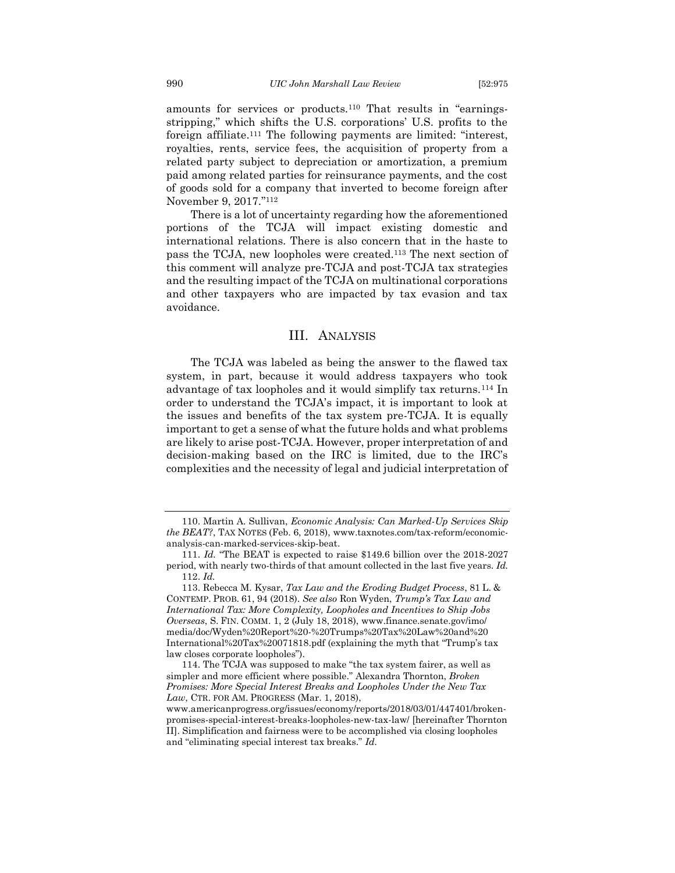<span id="page-16-1"></span>amounts for services or products.<sup>110</sup> That results in "earningsstripping," which shifts the U.S. corporations' U.S. profits to the foreign affiliate.<sup>111</sup> The following payments are limited: "interest, royalties, rents, service fees, the acquisition of property from a related party subject to depreciation or amortization, a premium paid among related parties for reinsurance payments, and the cost of goods sold for a company that inverted to become foreign after November 9, 2017." 112

There is a lot of uncertainty regarding how the aforementioned portions of the TCJA will impact existing domestic and international relations. There is also concern that in the haste to pass the TCJA, new loopholes were created.<sup>113</sup> The next section of this comment will analyze pre-TCJA and post-TCJA tax strategies and the resulting impact of the TCJA on multinational corporations and other taxpayers who are impacted by tax evasion and tax avoidance.

#### III. ANALYSIS

<span id="page-16-0"></span>The TCJA was labeled as being the answer to the flawed tax system, in part, because it would address taxpayers who took advantage of tax loopholes and it would simplify tax returns.<sup>114</sup> In order to understand the TCJA's impact, it is important to look at the issues and benefits of the tax system pre-TCJA. It is equally important to get a sense of what the future holds and what problems are likely to arise post-TCJA. However, proper interpretation of and decision-making based on the IRC is limited, due to the IRC's complexities and the necessity of legal and judicial interpretation of

<sup>110.</sup> Martin A. Sullivan, *Economic Analysis: Can Marked-Up Services Skip the BEAT?*, TAX NOTES (Feb. 6, 2018), www.taxnotes.com/tax-reform/economicanalysis-can-marked-services-skip-beat.

<sup>111.</sup> *Id.* "The BEAT is expected to raise \$149.6 billion over the 2018-2027 period, with nearly two-thirds of that amount collected in the last five years. *Id.*  112. *Id.*

<sup>113.</sup> Rebecca M. Kysar, *Tax Law and the Eroding Budget Process*, 81 L. & CONTEMP. PROB. 61, 94 (2018). *See also* Ron Wyden, *Trump's Tax Law and International Tax: More Complexity, Loopholes and Incentives to Ship Jobs Overseas*, S. FIN. COMM. 1, 2 (July 18, 2018), www.finance.senate.gov/imo/ media/doc/Wyden%20Report%20-%20Trumps%20Tax%20Law%20and%20 International%20Tax%20071818.pdf (explaining the myth that "Trump's tax law closes corporate loopholes").

<sup>114.</sup> The TCJA was supposed to make "the tax system fairer, as well as simpler and more efficient where possible." Alexandra Thornton, *Broken Promises: More Special Interest Breaks and Loopholes Under the New Tax Law*, CTR. FOR AM. PROGRESS (Mar. 1, 2018),

www.americanprogress.org/issues/economy/reports/2018/03/01/447401/brokenpromises-special-interest-breaks-loopholes-new-tax-law/ [hereinafter Thornton II]. Simplification and fairness were to be accomplished via closing loopholes and "eliminating special interest tax breaks." *Id.*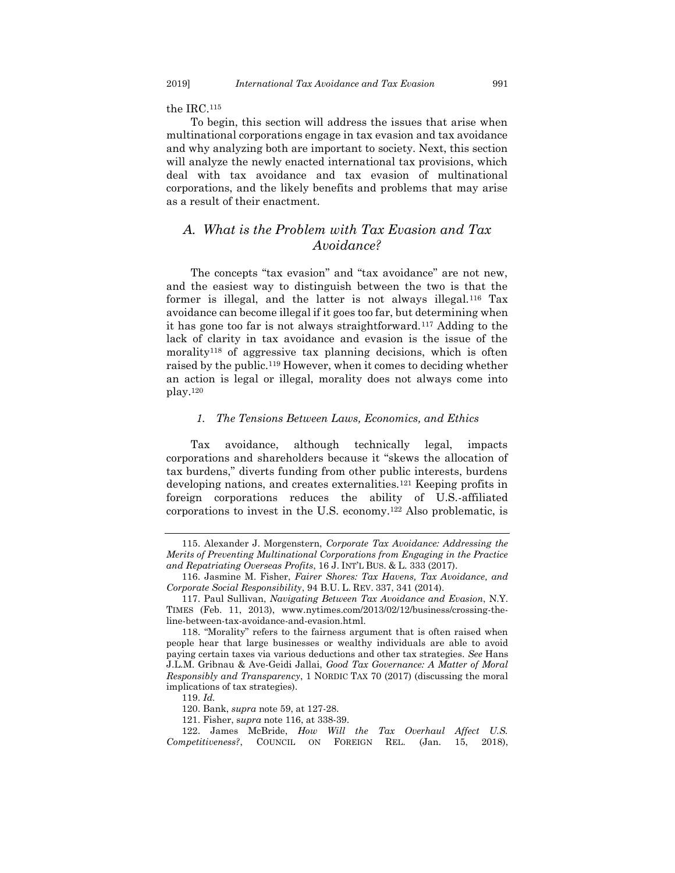the IRC.<sup>115</sup>

To begin, this section will address the issues that arise when multinational corporations engage in tax evasion and tax avoidance and why analyzing both are important to society. Next, this section will analyze the newly enacted international tax provisions, which deal with tax avoidance and tax evasion of multinational corporations, and the likely benefits and problems that may arise as a result of their enactment.

## <span id="page-17-0"></span>*A. What is the Problem with Tax Evasion and Tax Avoidance?*

The concepts "tax evasion" and "tax avoidance" are not new, and the easiest way to distinguish between the two is that the former is illegal, and the latter is not always illegal.<sup>116</sup> Tax avoidance can become illegal if it goes too far, but determining when it has gone too far is not always straightforward.<sup>117</sup> Adding to the lack of clarity in tax avoidance and evasion is the issue of the morality<sup>118</sup> of aggressive tax planning decisions, which is often raised by the public.<sup>119</sup> However, when it comes to deciding whether an action is legal or illegal, morality does not always come into play.<sup>120</sup>

#### *1. The Tensions Between Laws, Economics, and Ethics*

<span id="page-17-1"></span>Tax avoidance, although technically legal, impacts corporations and shareholders because it "skews the allocation of tax burdens," diverts funding from other public interests, burdens developing nations, and creates externalities.<sup>121</sup> Keeping profits in foreign corporations reduces the ability of U.S.-affiliated corporations to invest in the U.S. economy.<sup>122</sup> Also problematic, is

<sup>115.</sup> Alexander J. Morgenstern, *Corporate Tax Avoidance: Addressing the Merits of Preventing Multinational Corporations from Engaging in the Practice and Repatriating Overseas Profits*, 16 J. INT'L BUS. & L. 333 (2017).

<sup>116.</sup> Jasmine M. Fisher, *Fairer Shores: Tax Havens, Tax Avoidance, and Corporate Social Responsibility*, 94 B.U. L. REV. 337, 341 (2014).

<sup>117.</sup> Paul Sullivan, *Navigating Between Tax Avoidance and Evasion*, N.Y. TIMES (Feb. 11, 2013), www.nytimes.com/2013/02/12/business/crossing-theline-between-tax-avoidance-and-evasion.html.

<sup>118.</sup> "Morality" refers to the fairness argument that is often raised when people hear that large businesses or wealthy individuals are able to avoid paying certain taxes via various deductions and other tax strategies. *See* Hans J.L.M. Gribnau & Ave-Geidi Jallai, *Good Tax Governance: A Matter of Moral Responsibly and Transparency*, 1 NORDIC TAX 70 (2017) (discussing the moral implications of tax strategies).

<sup>119.</sup> *Id.*

<sup>120.</sup> Bank, *supra* note 59, at 127-28.

<sup>121.</sup> Fisher, s*upra* note 116, at 338-39.

<sup>122.</sup> James McBride, *How Will the Tax Overhaul Affect U.S. Competitiveness?*, COUNCIL ON FOREIGN REL. (Jan. 15, 2018),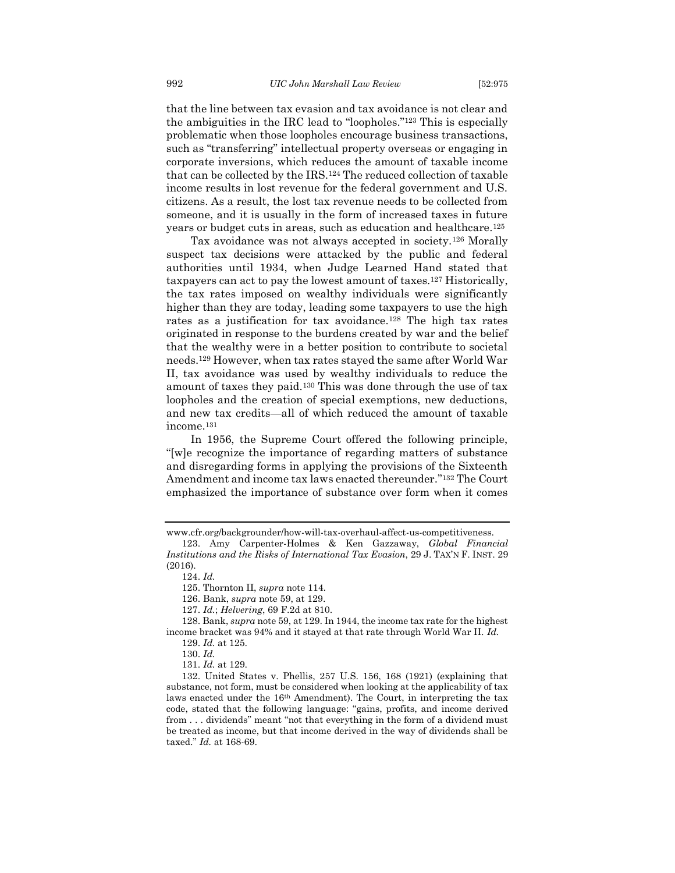that the line between tax evasion and tax avoidance is not clear and the ambiguities in the IRC lead to "loopholes." <sup>123</sup> This is especially problematic when those loopholes encourage business transactions, such as "transferring" intellectual property overseas or engaging in corporate inversions, which reduces the amount of taxable income that can be collected by the IRS.<sup>124</sup> The reduced collection of taxable income results in lost revenue for the federal government and U.S. citizens. As a result, the lost tax revenue needs to be collected from someone, and it is usually in the form of increased taxes in future years or budget cuts in areas, such as education and healthcare.<sup>125</sup>

Tax avoidance was not always accepted in society.<sup>126</sup> Morally suspect tax decisions were attacked by the public and federal authorities until 1934, when Judge Learned Hand stated that taxpayers can act to pay the lowest amount of taxes.<sup>127</sup> Historically, the tax rates imposed on wealthy individuals were significantly higher than they are today, leading some taxpayers to use the high rates as a justification for tax avoidance.<sup>128</sup> The high tax rates originated in response to the burdens created by war and the belief that the wealthy were in a better position to contribute to societal needs.<sup>129</sup> However, when tax rates stayed the same after World War II, tax avoidance was used by wealthy individuals to reduce the amount of taxes they paid.<sup>130</sup> This was done through the use of tax loopholes and the creation of special exemptions, new deductions, and new tax credits—all of which reduced the amount of taxable income.<sup>131</sup>

In 1956, the Supreme Court offered the following principle, "[w]e recognize the importance of regarding matters of substance and disregarding forms in applying the provisions of the Sixteenth Amendment and income tax laws enacted thereunder." <sup>132</sup> The Court emphasized the importance of substance over form when it comes

www.cfr.org/backgrounder/how-will-tax-overhaul-affect-us-competitiveness.

<sup>123.</sup> Amy Carpenter-Holmes & Ken Gazzaway, *Global Financial Institutions and the Risks of International Tax Evasion*, 29 J. TAX'N F. INST. 29 (2016).

<sup>124.</sup> *Id.*

<sup>125.</sup> Thornton II, *supra* note 114.

<sup>126.</sup> Bank, *supra* note 59, at 129.

<sup>127.</sup> *Id.*; *Helvering*, 69 F.2d at 810.

<sup>128.</sup> Bank, *supra* note 59, at 129. In 1944, the income tax rate for the highest income bracket was 94% and it stayed at that rate through World War II. *Id.*

<sup>129.</sup> *Id.* at 125.

<sup>130.</sup> *Id.* 

<sup>131.</sup> *Id.* at 129.

<sup>132.</sup> United States v. Phellis, 257 U.S. 156, 168 (1921) (explaining that substance, not form, must be considered when looking at the applicability of tax laws enacted under the 16th Amendment). The Court, in interpreting the tax code, stated that the following language: "gains, profits, and income derived from . . . dividends" meant "not that everything in the form of a dividend must be treated as income, but that income derived in the way of dividends shall be taxed." *Id.* at 168-69.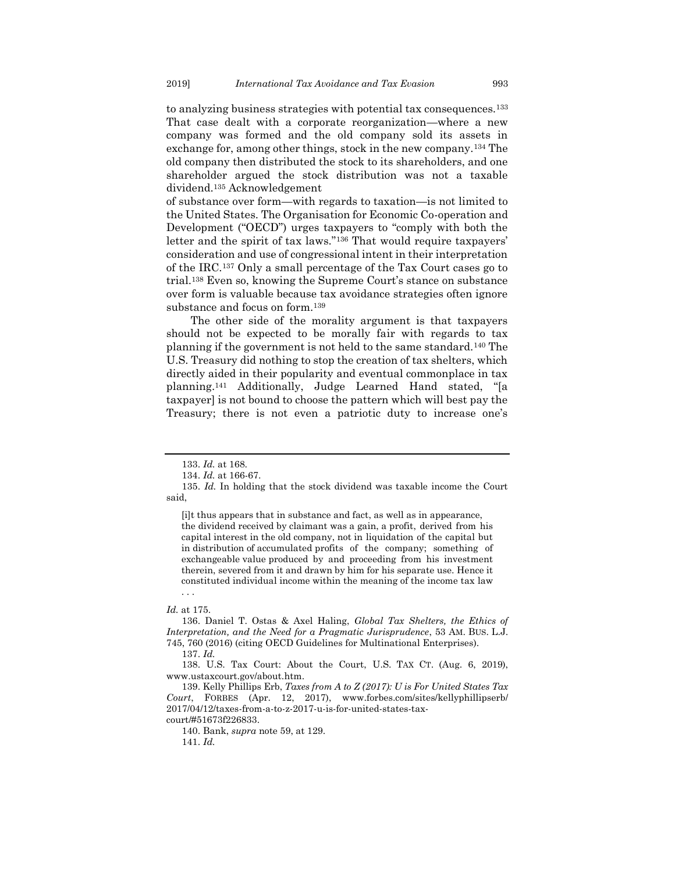to analyzing business strategies with potential tax consequences.<sup>133</sup> That case dealt with a corporate reorganization—where a new company was formed and the old company sold its assets in exchange for, among other things, stock in the new company.<sup>134</sup> The old company then distributed the stock to its shareholders, and one shareholder argued the stock distribution was not a taxable dividend.<sup>135</sup> Acknowledgement

<span id="page-19-0"></span>of substance over form—with regards to taxation—is not limited to the United States. The Organisation for Economic Co-operation and Development ("OECD") urges taxpayers to "comply with both the letter and the spirit of tax laws."<sup>136</sup> That would require taxpayers' consideration and use of congressional intent in their interpretation of the IRC.<sup>137</sup> Only a small percentage of the Tax Court cases go to trial.<sup>138</sup> Even so, knowing the Supreme Court's stance on substance over form is valuable because tax avoidance strategies often ignore substance and focus on form.<sup>139</sup>

The other side of the morality argument is that taxpayers should not be expected to be morally fair with regards to tax planning if the government is not held to the same standard.<sup>140</sup> The U.S. Treasury did nothing to stop the creation of tax shelters, which directly aided in their popularity and eventual commonplace in tax planning.<sup>141</sup> Additionally, Judge Learned Hand stated, "[a taxpayer] is not bound to choose the pattern which will best pay the Treasury; there is not even a patriotic duty to increase one's

[i]t thus appears that in substance and fact, as well as in appearance, the dividend received by claimant was a gain, a profit, derived from his capital interest in the old company, not in liquidation of the capital but in distribution of accumulated profits of the company; something of exchangeable value produced by and proceeding from his investment therein, severed from it and drawn by him for his separate use. Hence it constituted individual income within the meaning of the income tax law . . .

#### *Id.* at 175.

136. Daniel T. Ostas & Axel Haling, *Global Tax Shelters, the Ethics of Interpretation, and the Need for a Pragmatic Jurisprudence*, 53 AM. BUS. L.J. 745, 760 (2016) (citing OECD Guidelines for Multinational Enterprises).

140. Bank, *supra* note 59, at 129.

<sup>133.</sup> *Id.* at 168.

<sup>134.</sup> *Id.* at 166-67.

<sup>135.</sup> *Id.* In holding that the stock dividend was taxable income the Court said,

<sup>137.</sup> *Id.*

<sup>138.</sup> U.S. Tax Court: About the Court, U.S. TAX CT. (Aug. 6, 2019), www.ustaxcourt.gov/about.htm.

<sup>139.</sup> Kelly Phillips Erb, *Taxes from A to Z (2017): U is For United States Tax Court*, FORBES (Apr. 12, 2017), www.forbes.com/sites/kellyphillipserb/ 2017/04/12/taxes-from-a-to-z-2017-u-is-for-united-states-taxcourt/#51673f226833.

<sup>141.</sup> *Id.*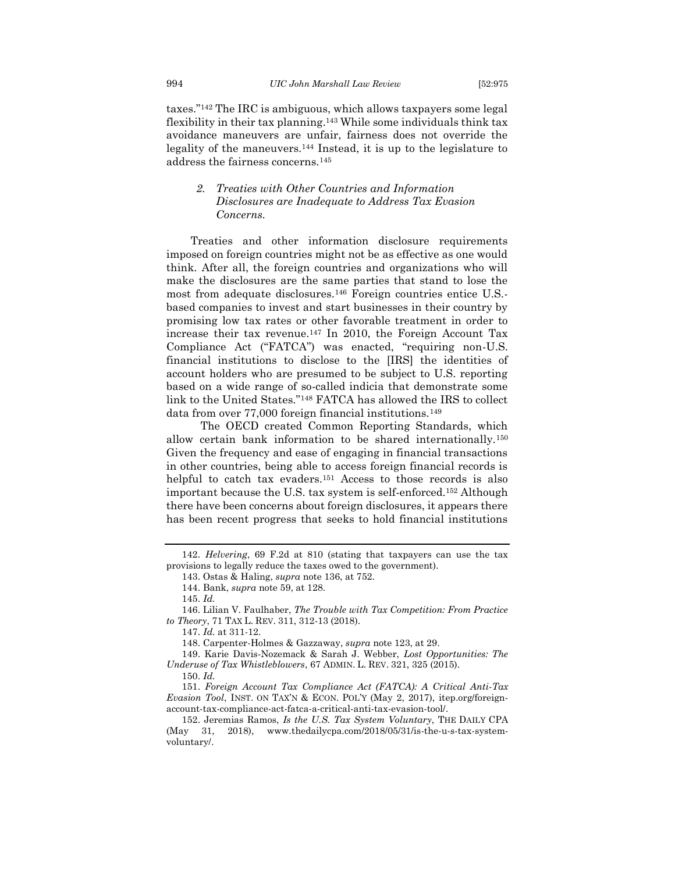taxes."<sup>142</sup> The IRC is ambiguous, which allows taxpayers some legal flexibility in their tax planning.<sup>143</sup> While some individuals think tax avoidance maneuvers are unfair, fairness does not override the legality of the maneuvers.<sup>144</sup> Instead, it is up to the legislature to address the fairness concerns.<sup>145</sup>

#### <span id="page-20-1"></span><span id="page-20-0"></span>*2. Treaties with Other Countries and Information Disclosures are Inadequate to Address Tax Evasion Concerns.*

Treaties and other information disclosure requirements imposed on foreign countries might not be as effective as one would think. After all, the foreign countries and organizations who will make the disclosures are the same parties that stand to lose the most from adequate disclosures.<sup>146</sup> Foreign countries entice U.S. based companies to invest and start businesses in their country by promising low tax rates or other favorable treatment in order to increase their tax revenue.<sup>147</sup> In 2010, the Foreign Account Tax Compliance Act ("FATCA") was enacted, "requiring non-U.S. financial institutions to disclose to the [IRS] the identities of account holders who are presumed to be subject to U.S. reporting based on a wide range of so-called indicia that demonstrate some link to the United States."<sup>148</sup> FATCA has allowed the IRS to collect data from over 77,000 foreign financial institutions.<sup>149</sup>

The OECD created Common Reporting Standards, which allow certain bank information to be shared internationally.<sup>150</sup> Given the frequency and ease of engaging in financial transactions in other countries, being able to access foreign financial records is helpful to catch tax evaders.<sup>151</sup> Access to those records is also important because the U.S. tax system is self-enforced.<sup>152</sup> Although there have been concerns about foreign disclosures, it appears there has been recent progress that seeks to hold financial institutions

145. *Id.*

147. *Id.* at 311-12.

148. Carpenter-Holmes & Gazzaway, *supra* note 123, at 29.

<sup>142.</sup> *Helvering*, 69 F.2d at 810 (stating that taxpayers can use the tax provisions to legally reduce the taxes owed to the government).

<span id="page-20-2"></span><sup>143.</sup> Ostas & Haling, *supra* note 136, at 752.

<sup>144.</sup> Bank, *supra* note 59, at 128.

<sup>146.</sup> Lilian V. Faulhaber, *The Trouble with Tax Competition: From Practice to Theory*, 71 TAX L. REV. 311, 312-13 (2018).

<sup>149.</sup> Karie Davis-Nozemack & Sarah J. Webber, *Lost Opportunities: The Underuse of Tax Whistleblowers*, 67 ADMIN. L. REV. 321, 325 (2015). 150. *Id.* 

<sup>151.</sup> *Foreign Account Tax Compliance Act (FATCA): A Critical Anti-Tax Evasion Tool*, INST. ON TAX'N & ECON. POL'Y (May 2, 2017), itep.org/foreign-

account-tax-compliance-act-fatca-a-critical-anti-tax-evasion-tool/.

<sup>152.</sup> Jeremias Ramos, *Is the U.S. Tax System Voluntary*, THE DAILY CPA (May 31, 2018), www.thedailycpa.com/2018/05/31/is-the-u-s-tax-systemvoluntary/.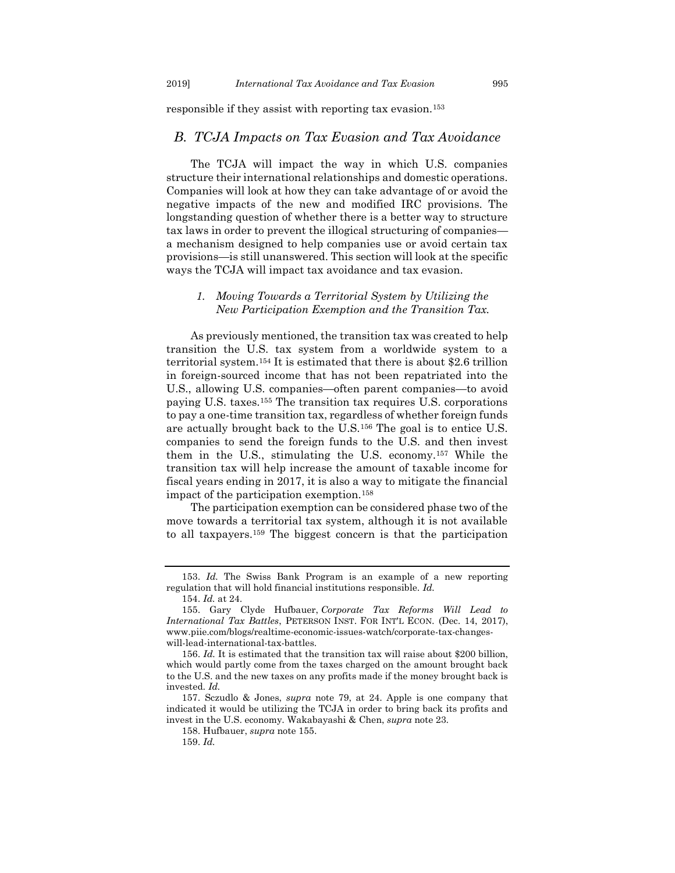responsible if they assist with reporting tax evasion.<sup>153</sup>

#### <span id="page-21-0"></span>*B. TCJA Impacts on Tax Evasion and Tax Avoidance*

The TCJA will impact the way in which U.S. companies structure their international relationships and domestic operations. Companies will look at how they can take advantage of or avoid the negative impacts of the new and modified IRC provisions. The longstanding question of whether there is a better way to structure tax laws in order to prevent the illogical structuring of companies a mechanism designed to help companies use or avoid certain tax provisions—is still unanswered. This section will look at the specific ways the TCJA will impact tax avoidance and tax evasion.

#### <span id="page-21-1"></span>*1. Moving Towards a Territorial System by Utilizing the New Participation Exemption and the Transition Tax.*

<span id="page-21-2"></span>As previously mentioned, the transition tax was created to help transition the U.S. tax system from a worldwide system to a territorial system.<sup>154</sup> It is estimated that there is about \$2.6 trillion in foreign-sourced income that has not been repatriated into the U.S., allowing U.S. companies—often parent companies—to avoid paying U.S. taxes.<sup>155</sup> The transition tax requires U.S. corporations to pay a one-time transition tax, regardless of whether foreign funds are actually brought back to the U.S.<sup>156</sup> The goal is to entice U.S. companies to send the foreign funds to the U.S. and then invest them in the U.S., stimulating the U.S. economy.<sup>157</sup> While the transition tax will help increase the amount of taxable income for fiscal years ending in 2017, it is also a way to mitigate the financial impact of the participation exemption.<sup>158</sup>

The participation exemption can be considered phase two of the move towards a territorial tax system, although it is not available to all taxpayers.<sup>159</sup> The biggest concern is that the participation

<sup>153.</sup> *Id.* The Swiss Bank Program is an example of a new reporting regulation that will hold financial institutions responsible. *Id.* 

<sup>154.</sup> *Id.* at 24.

<sup>155.</sup> Gary Clyde Hufbauer, *Corporate Tax Reforms Will Lead to International Tax Battles*, PETERSON INST. FOR INT'L ECON. (Dec. 14, 2017), www.piie.com/blogs/realtime-economic-issues-watch/corporate-tax-changeswill-lead-international-tax-battles.

<sup>156.</sup> *Id.* It is estimated that the transition tax will raise about \$200 billion, which would partly come from the taxes charged on the amount brought back to the U.S. and the new taxes on any profits made if the money brought back is invested. *Id.* 

<sup>157.</sup> Sczudlo & Jones, *supra* note 79, at 24. Apple is one company that indicated it would be utilizing the TCJA in order to bring back its profits and invest in the U.S. economy. Wakabayashi & Chen, *supra* not[e 23.](#page-5-1)

<sup>158.</sup> Hufbauer, *supra* not[e 155.](#page-21-2)

<sup>159.</sup> *Id.*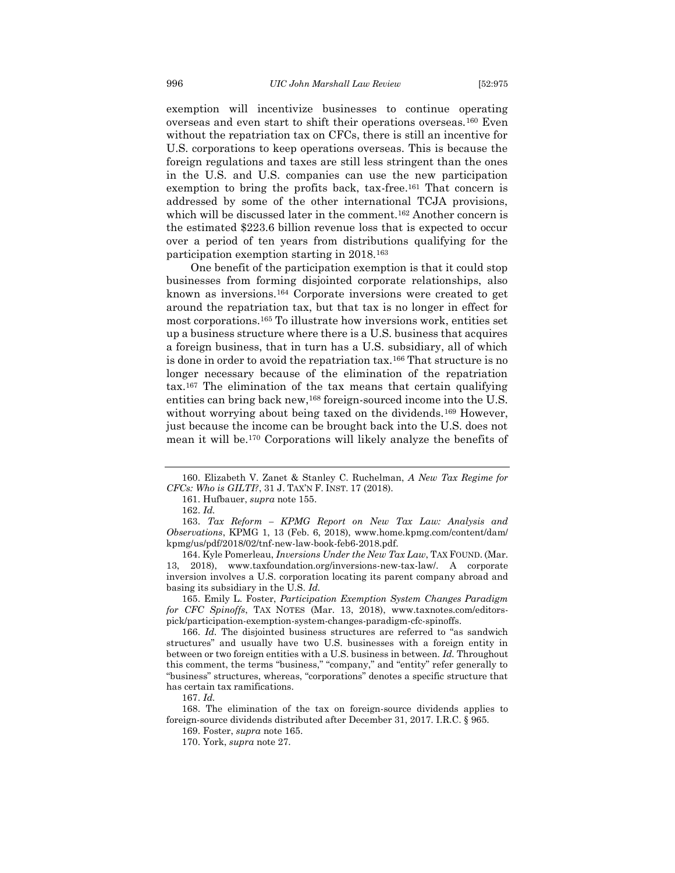exemption will incentivize businesses to continue operating overseas and even start to shift their operations overseas.<sup>160</sup> Even without the repatriation tax on CFCs, there is still an incentive for U.S. corporations to keep operations overseas. This is because the foreign regulations and taxes are still less stringent than the ones in the U.S. and U.S. companies can use the new participation exemption to bring the profits back, tax-free.<sup>161</sup> That concern is addressed by some of the other international TCJA provisions, which will be discussed later in the comment.<sup>162</sup> Another concern is the estimated \$223.6 billion revenue loss that is expected to occur over a period of ten years from distributions qualifying for the participation exemption starting in 2018.<sup>163</sup>

One benefit of the participation exemption is that it could stop businesses from forming disjointed corporate relationships, also known as inversions.<sup>164</sup> Corporate inversions were created to get around the repatriation tax, but that tax is no longer in effect for most corporations. <sup>165</sup> To illustrate how inversions work, entities set up a business structure where there is a U.S. business that acquires a foreign business, that in turn has a U.S. subsidiary, all of which is done in order to avoid the repatriation tax.<sup>166</sup> That structure is no longer necessary because of the elimination of the repatriation tax.<sup>167</sup> The elimination of the tax means that certain qualifying entities can bring back new,<sup>168</sup> foreign-sourced income into the U.S. without worrying about being taxed on the dividends.<sup>169</sup> However, just because the income can be brought back into the U.S. does not mean it will be.<sup>170</sup> Corporations will likely analyze the benefits of

164. Kyle Pomerleau, *Inversions Under the New Tax Law*, TAX FOUND. (Mar. 13, 2018), www.taxfoundation.org/inversions-new-tax-law/. A corporate inversion involves a U.S. corporation locating its parent company abroad and basing its subsidiary in the U.S. *Id.* 

165. Emily L. Foster, *Participation Exemption System Changes Paradigm for CFC Spinoffs*, TAX NOTES (Mar. 13, 2018), www.taxnotes.com/editorspick/participation-exemption-system-changes-paradigm-cfc-spinoffs.

166. *Id.* The disjointed business structures are referred to "as sandwich structures" and usually have two U.S. businesses with a foreign entity in between or two foreign entities with a U.S. business in between. *Id.* Throughout this comment, the terms "business," "company," and "entity" refer generally to "business" structures, whereas, "corporations" denotes a specific structure that has certain tax ramifications.

<sup>160.</sup> Elizabeth V. Zanet & Stanley C. Ruchelman, *A New Tax Regime for CFCs: Who is GILTI?*, 31 J. TAX'N F. INST. 17 (2018).

<sup>161.</sup> Hufbauer, *supra* note 155.

<sup>162.</sup> *Id.* 

<sup>163.</sup> *Tax Reform – KPMG Report on New Tax Law: Analysis and Observations*, KPMG 1, 13 (Feb. 6, 2018), www.home.kpmg.com/content/dam/ kpmg/us/pdf/2018/02/tnf-new-law-book-feb6-2018.pdf.

<sup>167.</sup> *Id.*

<sup>168.</sup> The elimination of the tax on foreign-source dividends applies to foreign-source dividends distributed after December 31, 2017. I.R.C. § 965.

<sup>169.</sup> Foster, *supra* note 165.

<sup>170.</sup> York, *supra* note 27.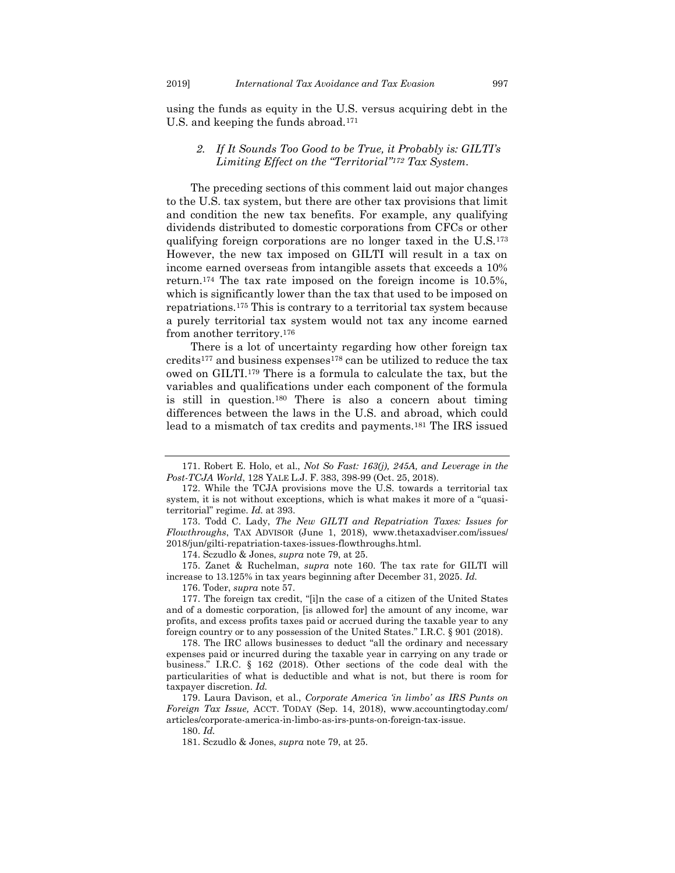using the funds as equity in the U.S. versus acquiring debt in the U.S. and keeping the funds abroad.<sup>171</sup>

#### <span id="page-23-0"></span>*2. If It Sounds Too Good to be True, it Probably is: GILTI's Limiting Effect on the "Territorial"<sup>172</sup> Tax System.*

The preceding sections of this comment laid out major changes to the U.S. tax system, but there are other tax provisions that limit and condition the new tax benefits. For example, any qualifying dividends distributed to domestic corporations from CFCs or other qualifying foreign corporations are no longer taxed in the U.S.<sup>173</sup> However, the new tax imposed on GILTI will result in a tax on income earned overseas from intangible assets that exceeds a 10% return.<sup>174</sup> The tax rate imposed on the foreign income is 10.5%, which is significantly lower than the tax that used to be imposed on repatriations.<sup>175</sup> This is contrary to a territorial tax system because a purely territorial tax system would not tax any income earned from another territory.<sup>176</sup>

There is a lot of uncertainty regarding how other foreign tax credits<sup>177</sup> and business expenses<sup>178</sup> can be utilized to reduce the tax owed on GILTI.<sup>179</sup> There is a formula to calculate the tax, but the variables and qualifications under each component of the formula is still in question.<sup>180</sup> There is also a concern about timing differences between the laws in the U.S. and abroad, which could lead to a mismatch of tax credits and payments.<sup>181</sup> The IRS issued

174. Sczudlo & Jones, *supra* note 79, at 25.

175. Zanet & Ruchelman, *supra* note 160. The tax rate for GILTI will increase to 13.125% in tax years beginning after December 31, 2025. *Id.*

176. Toder, *supra* not[e 57.](#page-9-1)

177. The foreign tax credit, "[i]n the case of a citizen of the United States and of a domestic corporation, [is allowed for] the amount of any income, war profits, and excess profits taxes paid or accrued during the taxable year to any foreign country or to any possession of the United States." I.R.C. § 901 (2018).

178. The IRC allows businesses to deduct "all the ordinary and necessary expenses paid or incurred during the taxable year in carrying on any trade or business." I.R.C. § 162 (2018). Other sections of the code deal with the particularities of what is deductible and what is not, but there is room for taxpayer discretion. *Id.*

179. Laura Davison, et al., *Corporate America 'in limbo' as IRS Punts on Foreign Tax Issue,* ACCT. TODAY (Sep. 14, 2018), www.accountingtoday.com/ articles/corporate-america-in-limbo-as-irs-punts-on-foreign-tax-issue.

180. *Id.*

181. Sczudlo & Jones, *supra* note 79, at 25.

<sup>171.</sup> Robert E. Holo, et al., *Not So Fast: 163(j), 245A, and Leverage in the Post-TCJA World*, 128 YALE L.J. F. 383, 398-99 (Oct. 25, 2018).

<sup>172.</sup> While the TCJA provisions move the U.S. towards a territorial tax system, it is not without exceptions, which is what makes it more of a "quasiterritorial" regime. *Id.* at 393.

<sup>173.</sup> Todd C. Lady, *The New GILTI and Repatriation Taxes: Issues for Flowthroughs*, TAX ADVISOR (June 1, 2018), www.thetaxadviser.com/issues/ 2018/jun/gilti-repatriation-taxes-issues-flowthroughs.html.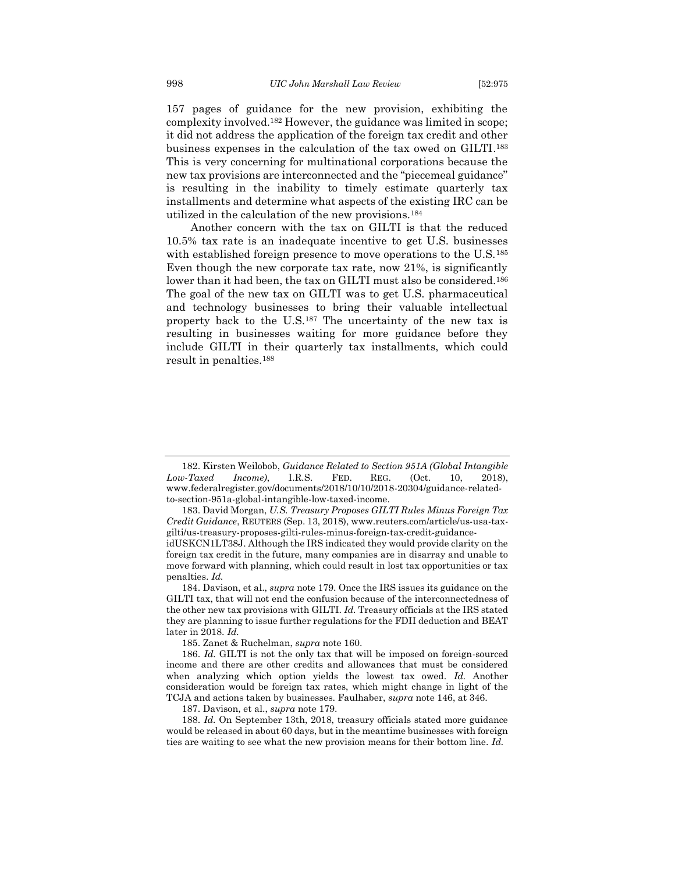157 pages of guidance for the new provision, exhibiting the complexity involved.<sup>182</sup> However, the guidance was limited in scope; it did not address the application of the foreign tax credit and other business expenses in the calculation of the tax owed on GILTI. 183 This is very concerning for multinational corporations because the new tax provisions are interconnected and the "piecemeal guidance" is resulting in the inability to timely estimate quarterly tax installments and determine what aspects of the existing IRC can be utilized in the calculation of the new provisions.<sup>184</sup>

Another concern with the tax on GILTI is that the reduced 10.5% tax rate is an inadequate incentive to get U.S. businesses with established foreign presence to move operations to the U.S.<sup>185</sup> Even though the new corporate tax rate, now 21%, is significantly lower than it had been, the tax on GILTI must also be considered.<sup>186</sup> The goal of the new tax on GILTI was to get U.S. pharmaceutical and technology businesses to bring their valuable intellectual property back to the U.S.<sup>187</sup> The uncertainty of the new tax is resulting in businesses waiting for more guidance before they include GILTI in their quarterly tax installments, which could result in penalties.<sup>188</sup>

<sup>182.</sup> Kirsten Weilobob, *Guidance Related to Section 951A (Global Intangible Low-Taxed Income)*, I.R.S. FED. REG. (Oct. 10, 2018), www.federalregister.gov/documents/2018/10/10/2018-20304/guidance-relatedto-section-951a-global-intangible-low-taxed-income.

<sup>183.</sup> David Morgan, *U.S. Treasury Proposes GILTI Rules Minus Foreign Tax Credit Guidance*, REUTERS (Sep. 13, 2018), www.reuters.com/article/us-usa-taxgilti/us-treasury-proposes-gilti-rules-minus-foreign-tax-credit-guidance-

idUSKCN1LT38J. Although the IRS indicated they would provide clarity on the foreign tax credit in the future, many companies are in disarray and unable to move forward with planning, which could result in lost tax opportunities or tax penalties. *Id.* 

<sup>184.</sup> Davison, et al., *supra* note 179. Once the IRS issues its guidance on the GILTI tax, that will not end the confusion because of the interconnectedness of the other new tax provisions with GILTI. *Id.* Treasury officials at the IRS stated they are planning to issue further regulations for the FDII deduction and BEAT later in 2018. *Id.* 

<sup>185.</sup> Zanet & Ruchelman, *supra* note 160.

<sup>186.</sup> *Id.* GILTI is not the only tax that will be imposed on foreign-sourced income and there are other credits and allowances that must be considered when analyzing which option yields the lowest tax owed. *Id.* Another consideration would be foreign tax rates, which might change in light of the TCJA and actions taken by businesses. Faulhaber, *supra* not[e 146,](#page-20-1) at 346.

<sup>187.</sup> Davison, et al., *supra* note 179.

<sup>188.</sup> *Id.* On September 13th, 2018, treasury officials stated more guidance would be released in about 60 days, but in the meantime businesses with foreign ties are waiting to see what the new provision means for their bottom line. *Id.*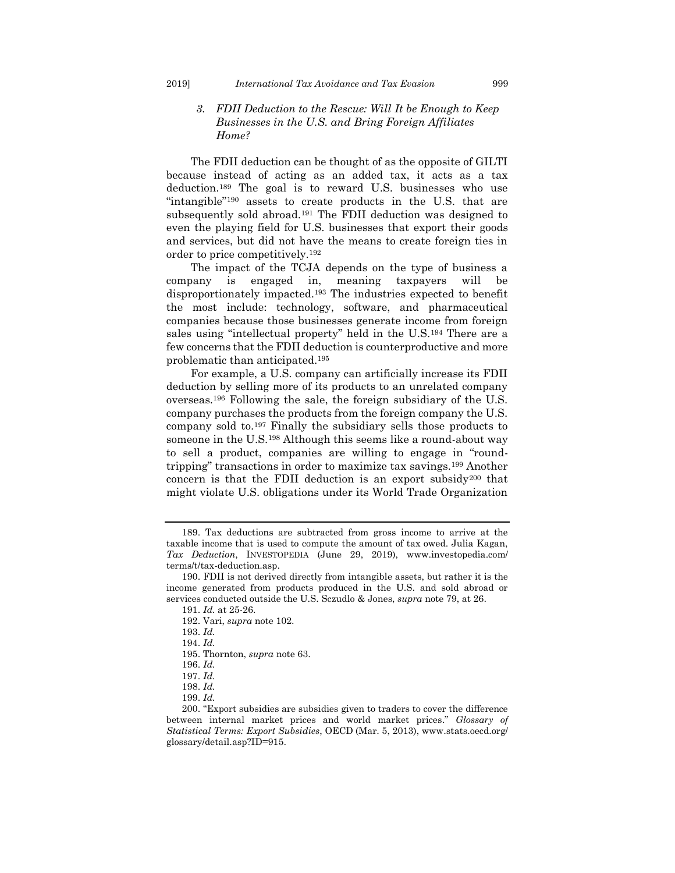#### <span id="page-25-0"></span>*3. FDII Deduction to the Rescue: Will It be Enough to Keep Businesses in the U.S. and Bring Foreign Affiliates Home?*

The FDII deduction can be thought of as the opposite of GILTI because instead of acting as an added tax, it acts as a tax deduction.<sup>189</sup> The goal is to reward U.S. businesses who use "intangible"<sup>190</sup> assets to create products in the U.S. that are subsequently sold abroad.<sup>191</sup> The FDII deduction was designed to even the playing field for U.S. businesses that export their goods and services, but did not have the means to create foreign ties in order to price competitively.<sup>192</sup>

The impact of the TCJA depends on the type of business a company is engaged in, meaning taxpayers will be disproportionately impacted.<sup>193</sup> The industries expected to benefit the most include: technology, software, and pharmaceutical companies because those businesses generate income from foreign sales using "intellectual property" held in the U.S.<sup>194</sup> There are a few concerns that the FDII deduction is counterproductive and more problematic than anticipated.<sup>195</sup>

For example, a U.S. company can artificially increase its FDII deduction by selling more of its products to an unrelated company overseas.<sup>196</sup> Following the sale, the foreign subsidiary of the U.S. company purchases the products from the foreign company the U.S. company sold to.<sup>197</sup> Finally the subsidiary sells those products to someone in the U.S.<sup>198</sup> Although this seems like a round-about way to sell a product, companies are willing to engage in "roundtripping" transactions in order to maximize tax savings.<sup>199</sup> Another concern is that the FDII deduction is an export subsidy<sup>200</sup> that might violate U.S. obligations under its World Trade Organization

194. *Id.* 

195. Thornton, *supra* not[e 63.](#page-10-2)

<sup>189.</sup> Tax deductions are subtracted from gross income to arrive at the taxable income that is used to compute the amount of tax owed. Julia Kagan, *Tax Deduction*, INVESTOPEDIA (June 29, 2019), www.investopedia.com/ terms/t/tax-deduction.asp.

<sup>190.</sup> FDII is not derived directly from intangible assets, but rather it is the income generated from products produced in the U.S. and sold abroad or services conducted outside the U.S. Sczudlo & Jones, *supra* note 79, at 26.

<sup>191.</sup> *Id.* at 25-26.

<sup>192.</sup> Vari, *supra* not[e 102.](#page-15-1)

<sup>193.</sup> *Id.*

<sup>196.</sup> *Id.*

<sup>197.</sup> *Id.*

<sup>198.</sup> *Id.*

<sup>199.</sup> *Id.*

<sup>200.</sup> "Export subsidies are subsidies given to traders to cover the difference between internal market prices and world market prices." *Glossary of Statistical Terms: Export Subsidies*, OECD (Mar. 5, 2013), www.stats.oecd.org/ glossary/detail.asp?ID=915.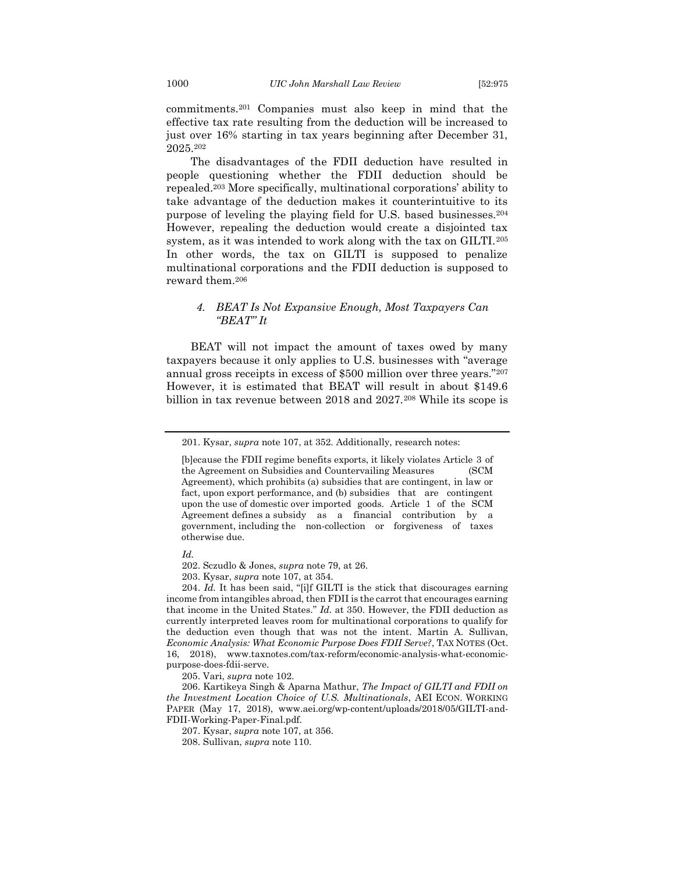commitments.<sup>201</sup> Companies must also keep in mind that the effective tax rate resulting from the deduction will be increased to just over 16% starting in tax years beginning after December 31, 2025.<sup>202</sup>

The disadvantages of the FDII deduction have resulted in people questioning whether the FDII deduction should be repealed.<sup>203</sup> More specifically, multinational corporations' ability to take advantage of the deduction makes it counterintuitive to its purpose of leveling the playing field for U.S. based businesses.<sup>204</sup> However, repealing the deduction would create a disjointed tax system, as it was intended to work along with the tax on GILTI.<sup>205</sup> In other words, the tax on GILTI is supposed to penalize multinational corporations and the FDII deduction is supposed to reward them.<sup>206</sup>

#### <span id="page-26-0"></span>*4. BEAT Is Not Expansive Enough, Most Taxpayers Can "BEAT" It*

BEAT will not impact the amount of taxes owed by many taxpayers because it only applies to U.S. businesses with "average annual gross receipts in excess of \$500 million over three years."<sup>207</sup> However, it is estimated that BEAT will result in about \$149.6 billion in tax revenue between 2018 and 2027.<sup>208</sup> While its scope is

*Id.*

202. Sczudlo & Jones, *supra* note 79, at 26.

203. Kysar, *supra* note 107, at 354.

204. *Id.* It has been said, "[i]f GILTI is the stick that discourages earning income from intangibles abroad, then FDII is the carrot that encourages earning that income in the United States." *Id.* at 350. However, the FDII deduction as currently interpreted leaves room for multinational corporations to qualify for the deduction even though that was not the intent. Martin A. Sullivan, *Economic Analysis: What Economic Purpose Does FDII Serve?*, TAX NOTES (Oct. 16, 2018), www.taxnotes.com/tax-reform/economic-analysis-what-economicpurpose-does-fdii-serve.

205. Vari, *supra* note 102.

206. Kartikeya Singh & Aparna Mathur, *The Impact of GILTI and FDII on the Investment Location Choice of U.S. Multinationals*, AEI ECON. WORKING PAPER (May 17, 2018), www.aei.org/wp-content/uploads/2018/05/GILTI-and-FDII-Working-Paper-Final.pdf.

207. Kysar, *supra* note 107, at 356.

208. Sullivan, *supra* note [110.](#page-16-1)

<sup>201.</sup> Kysar, *supra* not[e 107,](#page-15-2) at 352. Additionally, research notes:

<sup>[</sup>b]ecause the FDII regime benefits exports, it likely violates Article 3 of the Agreement on Subsidies and Countervailing Measures (SCM Agreement), which prohibits (a) subsidies that are contingent, in law or fact, upon export performance, and (b) subsidies that are contingent upon the use of domestic over imported goods. Article 1 of the SCM Agreement defines a subsidy as a financial contribution by a government, including the non-collection or forgiveness of taxes otherwise due.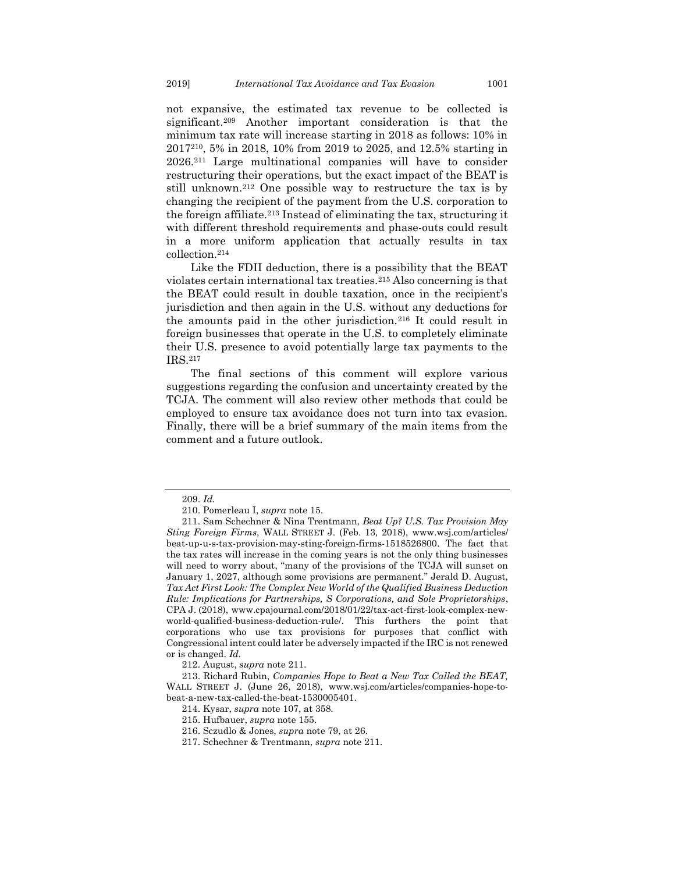not expansive, the estimated tax revenue to be collected is significant.<sup>209</sup> Another important consideration is that the minimum tax rate will increase starting in 2018 as follows: 10% in 2017210, 5% in 2018, 10% from 2019 to 2025, and 12.5% starting in 2026.<sup>211</sup> Large multinational companies will have to consider restructuring their operations, but the exact impact of the BEAT is still unknown.<sup>212</sup> One possible way to restructure the tax is by changing the recipient of the payment from the U.S. corporation to the foreign affiliate.<sup>213</sup> Instead of eliminating the tax, structuring it with different threshold requirements and phase-outs could result in a more uniform application that actually results in tax collection.<sup>214</sup>

Like the FDII deduction, there is a possibility that the BEAT violates certain international tax treaties.<sup>215</sup> Also concerning is that the BEAT could result in double taxation, once in the recipient's jurisdiction and then again in the U.S. without any deductions for the amounts paid in the other jurisdiction.<sup>216</sup> It could result in foreign businesses that operate in the U.S. to completely eliminate their U.S. presence to avoid potentially large tax payments to the IRS.<sup>217</sup>

The final sections of this comment will explore various suggestions regarding the confusion and uncertainty created by the TCJA. The comment will also review other methods that could be employed to ensure tax avoidance does not turn into tax evasion. Finally, there will be a brief summary of the main items from the comment and a future outlook.

<sup>209.</sup> *Id.*

<sup>210.</sup> Pomerleau I, *supra* note [15.](#page-4-0)

<sup>211.</sup> Sam Schechner & Nina Trentmann, *Beat Up? U.S. Tax Provision May Sting Foreign Firms*, WALL STREET J. (Feb. 13, 2018), www.wsj.com/articles/ beat-up-u-s-tax-provision-may-sting-foreign-firms-1518526800. The fact that the tax rates will increase in the coming years is not the only thing businesses will need to worry about, "many of the provisions of the TCJA will sunset on January 1, 2027, although some provisions are permanent." Jerald D. August, *Tax Act First Look: The Complex New World of the Qualified Business Deduction Rule: Implications for Partnerships, S Corporations, and Sole Proprietorships*, CPA J. (2018), www.cpajournal.com/2018/01/22/tax-act-first-look-complex-newworld-qualified-business-deduction-rule/. This furthers the point that corporations who use tax provisions for purposes that conflict with Congressional intent could later be adversely impacted if the IRC is not renewed or is changed. *Id.* 

<sup>212.</sup> August, *supra* note 211.

<sup>213.</sup> Richard Rubin, *Companies Hope to Beat a New Tax Called the BEAT,* WALL STREET J. (June 26, 2018), www.wsj.com/articles/companies-hope-tobeat-a-new-tax-called-the-beat-1530005401.

<sup>214.</sup> Kysar, *supra* note 107, at 358.

<sup>215.</sup> Hufbauer, *supra* not[e 155.](#page-21-2)

<sup>216.</sup> Sczudlo & Jones, *supra* note 79, at 26.

<sup>217.</sup> Schechner & Trentmann, *supra* note 211.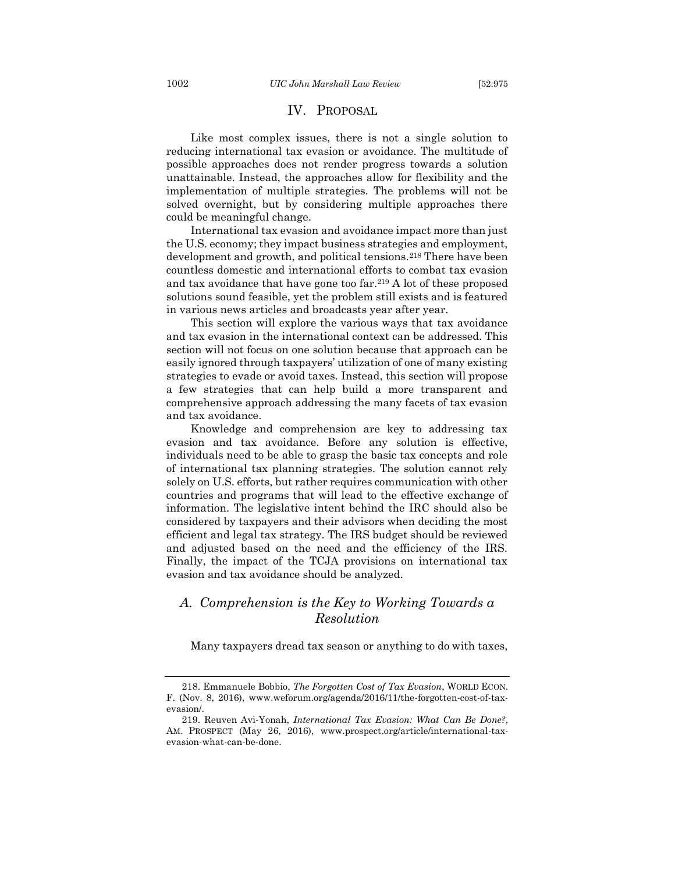#### IV. PROPOSAL

<span id="page-28-0"></span>Like most complex issues, there is not a single solution to reducing international tax evasion or avoidance. The multitude of possible approaches does not render progress towards a solution unattainable. Instead, the approaches allow for flexibility and the implementation of multiple strategies. The problems will not be solved overnight, but by considering multiple approaches there could be meaningful change.

International tax evasion and avoidance impact more than just the U.S. economy; they impact business strategies and employment, development and growth, and political tensions.<sup>218</sup> There have been countless domestic and international efforts to combat tax evasion and tax avoidance that have gone too far.<sup>219</sup> A lot of these proposed solutions sound feasible, yet the problem still exists and is featured in various news articles and broadcasts year after year.

This section will explore the various ways that tax avoidance and tax evasion in the international context can be addressed. This section will not focus on one solution because that approach can be easily ignored through taxpayers' utilization of one of many existing strategies to evade or avoid taxes. Instead, this section will propose a few strategies that can help build a more transparent and comprehensive approach addressing the many facets of tax evasion and tax avoidance.

Knowledge and comprehension are key to addressing tax evasion and tax avoidance. Before any solution is effective, individuals need to be able to grasp the basic tax concepts and role of international tax planning strategies. The solution cannot rely solely on U.S. efforts, but rather requires communication with other countries and programs that will lead to the effective exchange of information. The legislative intent behind the IRC should also be considered by taxpayers and their advisors when deciding the most efficient and legal tax strategy. The IRS budget should be reviewed and adjusted based on the need and the efficiency of the IRS. Finally, the impact of the TCJA provisions on international tax evasion and tax avoidance should be analyzed.

## <span id="page-28-1"></span>*A. Comprehension is the Key to Working Towards a Resolution*

Many taxpayers dread tax season or anything to do with taxes,

<sup>218.</sup> Emmanuele Bobbio, *The Forgotten Cost of Tax Evasion*, WORLD ECON. F. (Nov. 8, 2016), www.weforum.org/agenda/2016/11/the-forgotten-cost-of-taxevasion/.

<sup>219.</sup> Reuven Avi-Yonah, *International Tax Evasion: What Can Be Done?*, AM. PROSPECT (May 26, 2016), www.prospect.org/article/international-taxevasion-what-can-be-done.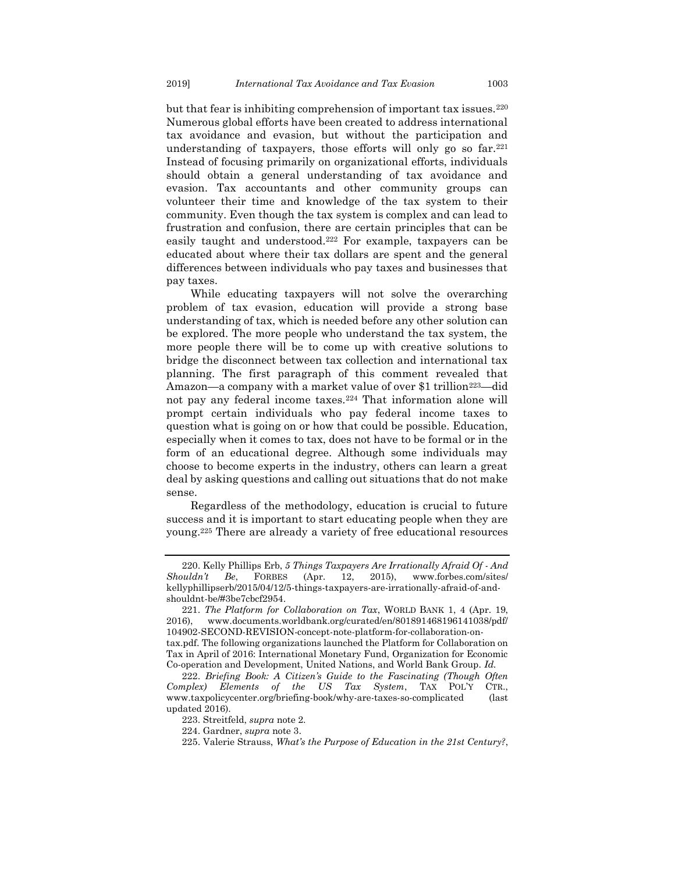but that fear is inhibiting comprehension of important tax issues.<sup>220</sup> Numerous global efforts have been created to address international tax avoidance and evasion, but without the participation and understanding of taxpayers, those efforts will only go so far.<sup>221</sup> Instead of focusing primarily on organizational efforts, individuals should obtain a general understanding of tax avoidance and evasion. Tax accountants and other community groups can volunteer their time and knowledge of the tax system to their community. Even though the tax system is complex and can lead to frustration and confusion, there are certain principles that can be easily taught and understood.<sup>222</sup> For example, taxpayers can be educated about where their tax dollars are spent and the general differences between individuals who pay taxes and businesses that pay taxes.

While educating taxpayers will not solve the overarching problem of tax evasion, education will provide a strong base understanding of tax, which is needed before any other solution can be explored. The more people who understand the tax system, the more people there will be to come up with creative solutions to bridge the disconnect between tax collection and international tax planning. The first paragraph of this comment revealed that Amazon—a company with a market value of over \$1 trillion<sup>223</sup>—did not pay any federal income taxes.<sup>224</sup> That information alone will prompt certain individuals who pay federal income taxes to question what is going on or how that could be possible. Education, especially when it comes to tax, does not have to be formal or in the form of an educational degree. Although some individuals may choose to become experts in the industry, others can learn a great deal by asking questions and calling out situations that do not make sense.

Regardless of the methodology, education is crucial to future success and it is important to start educating people when they are young.<sup>225</sup> There are already a variety of free educational resources

<sup>220.</sup> Kelly Phillips Erb, *5 Things Taxpayers Are Irrationally Afraid Of - And Shouldn't Be*, FORBES (Apr. 12, 2015), www.forbes.com/sites/ kellyphillipserb/2015/04/12/5-things-taxpayers-are-irrationally-afraid-of-andshouldnt-be/#3be7cbcf2954.

<sup>221.</sup> *The Platform for Collaboration on Tax*, WORLD BANK 1, 4 (Apr. 19, 2016), www.documents.worldbank.org/curated/en/801891468196141038/pdf/ 104902-SECOND-REVISION-concept-note-platform-for-collaboration-ontax.pdf. The following organizations launched the Platform for Collaboration on Tax in April of 2016: International Monetary Fund, Organization for Economic Co-operation and Development, United Nations, and World Bank Group. *Id.*

<sup>222.</sup> *Briefing Book: A Citizen's Guide to the Fascinating (Though Often Complex) Elements of the US Tax System*, TAX POL'Y CTR., www.taxpolicycenter.org/briefing-book/why-are-taxes-so-complicated (last updated 2016).

<sup>223.</sup> Streitfeld, *supra* not[e 2.](#page-2-1)

<sup>224.</sup> Gardner, *supra* note [3.](#page-2-2)

<sup>225.</sup> Valerie Strauss, *What's the Purpose of Education in the 21st Century?*,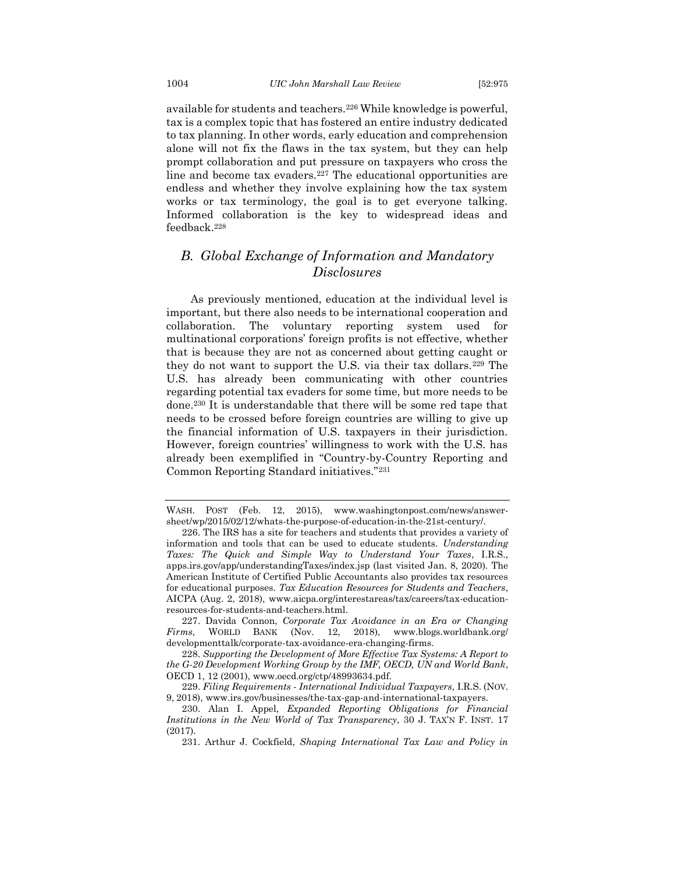available for students and teachers.<sup>226</sup> While knowledge is powerful, tax is a complex topic that has fostered an entire industry dedicated to tax planning. In other words, early education and comprehension alone will not fix the flaws in the tax system, but they can help prompt collaboration and put pressure on taxpayers who cross the line and become tax evaders.<sup>227</sup> The educational opportunities are endless and whether they involve explaining how the tax system works or tax terminology, the goal is to get everyone talking. Informed collaboration is the key to widespread ideas and feedback.<sup>228</sup>

## <span id="page-30-0"></span>*B. Global Exchange of Information and Mandatory Disclosures*

As previously mentioned, education at the individual level is important, but there also needs to be international cooperation and collaboration. The voluntary reporting system used for multinational corporations' foreign profits is not effective, whether that is because they are not as concerned about getting caught or they do not want to support the U.S. via their tax dollars.<sup>229</sup> The U.S. has already been communicating with other countries regarding potential tax evaders for some time, but more needs to be done.<sup>230</sup> It is understandable that there will be some red tape that needs to be crossed before foreign countries are willing to give up the financial information of U.S. taxpayers in their jurisdiction. However, foreign countries' willingness to work with the U.S. has already been exemplified in "Country-by-Country Reporting and Common Reporting Standard initiatives."<sup>231</sup>

WASH. POST (Feb. 12, 2015), www.washingtonpost.com/news/answersheet/wp/2015/02/12/whats-the-purpose-of-education-in-the-21st-century/.

<sup>226.</sup> The IRS has a site for teachers and students that provides a variety of information and tools that can be used to educate students. *Understanding Taxes: The Quick and Simple Way to Understand Your Taxes*, I.R.S., apps.irs.gov/app/understandingTaxes/index.jsp (last visited Jan. 8, 2020). The American Institute of Certified Public Accountants also provides tax resources for educational purposes. *Tax Education Resources for Students and Teachers*, AICPA (Aug. 2, 2018), www.aicpa.org/interestareas/tax/careers/tax-educationresources-for-students-and-teachers.html.

<sup>227.</sup> Davida Connon, *Corporate Tax Avoidance in an Era or Changing Firms*, WORLD BANK (Nov. 12, 2018), www.blogs.worldbank.org/ developmenttalk/corporate-tax-avoidance-era-changing-firms.

<sup>228.</sup> *Supporting the Development of More Effective Tax Systems: A Report to the G-20 Development Working Group by the IMF, OECD, UN and World Bank*, OECD 1, 12 (2001), www.oecd.org/ctp/48993634.pdf.

<sup>229.</sup> *Filing Requirements - International Individual Taxpayers*, I.R.S. (NOV. 9, 2018), www.irs.gov/businesses/the-tax-gap-and-international-taxpayers.

<sup>230.</sup> Alan I. Appel, *Expanded Reporting Obligations for Financial Institutions in the New World of Tax Transparency*, 30 J. TAX'N F. INST. 17 (2017).

<sup>231.</sup> Arthur J. Cockfield, *Shaping International Tax Law and Policy in*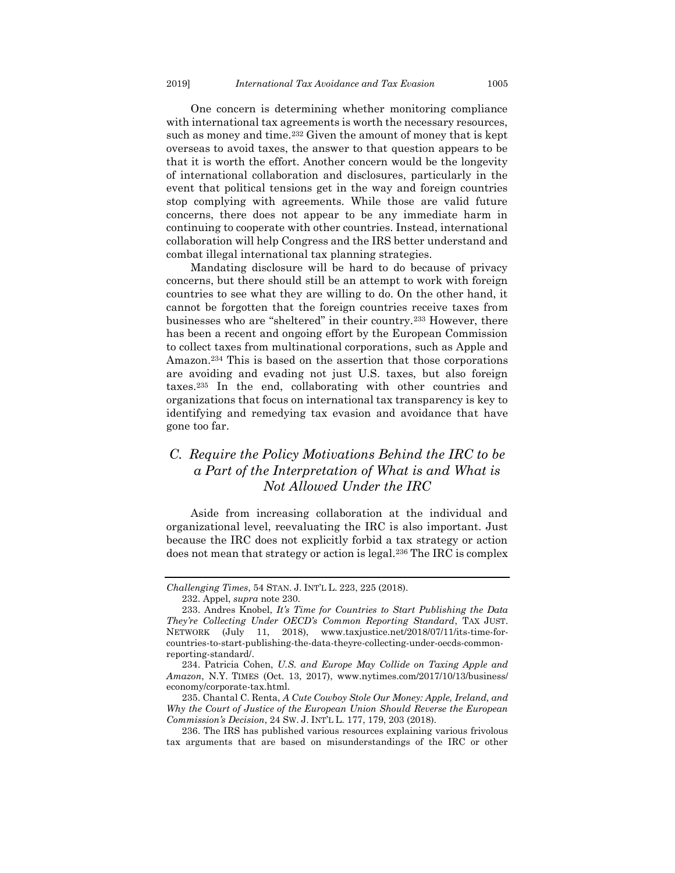One concern is determining whether monitoring compliance with international tax agreements is worth the necessary resources, such as money and time.<sup>232</sup> Given the amount of money that is kept overseas to avoid taxes, the answer to that question appears to be that it is worth the effort. Another concern would be the longevity of international collaboration and disclosures, particularly in the event that political tensions get in the way and foreign countries stop complying with agreements. While those are valid future concerns, there does not appear to be any immediate harm in continuing to cooperate with other countries. Instead, international collaboration will help Congress and the IRS better understand and combat illegal international tax planning strategies.

Mandating disclosure will be hard to do because of privacy concerns, but there should still be an attempt to work with foreign countries to see what they are willing to do. On the other hand, it cannot be forgotten that the foreign countries receive taxes from businesses who are "sheltered" in their country.<sup>233</sup> However, there has been a recent and ongoing effort by the European Commission to collect taxes from multinational corporations, such as Apple and Amazon.<sup>234</sup> This is based on the assertion that those corporations are avoiding and evading not just U.S. taxes, but also foreign taxes.<sup>235</sup> In the end, collaborating with other countries and organizations that focus on international tax transparency is key to identifying and remedying tax evasion and avoidance that have gone too far.

## <span id="page-31-0"></span>*C. Require the Policy Motivations Behind the IRC to be a Part of the Interpretation of What is and What is Not Allowed Under the IRC*

Aside from increasing collaboration at the individual and organizational level, reevaluating the IRC is also important. Just because the IRC does not explicitly forbid a tax strategy or action does not mean that strategy or action is legal.<sup>236</sup> The IRC is complex

*Challenging Times*, 54 STAN. J. INT'L L. 223, 225 (2018).

<sup>232.</sup> Appel, *supra* note 230.

<sup>233.</sup> Andres Knobel, *It's Time for Countries to Start Publishing the Data They're Collecting Under OECD's Common Reporting Standard*, TAX JUST. NETWORK (July 11, 2018), www.taxjustice.net/2018/07/11/its-time-forcountries-to-start-publishing-the-data-theyre-collecting-under-oecds-commonreporting-standard/.

<sup>234.</sup> Patricia Cohen, *U.S. and Europe May Collide on Taxing Apple and Amazon*, N.Y. TIMES (Oct. 13, 2017), www.nytimes.com/2017/10/13/business/ economy/corporate-tax.html.

<sup>235.</sup> Chantal C. Renta, *A Cute Cowboy Stole Our Money: Apple, Ireland, and Why the Court of Justice of the European Union Should Reverse the European Commission's Decision*, 24 SW. J. INT'L L. 177, 179, 203 (2018).

<sup>236.</sup> The IRS has published various resources explaining various frivolous tax arguments that are based on misunderstandings of the IRC or other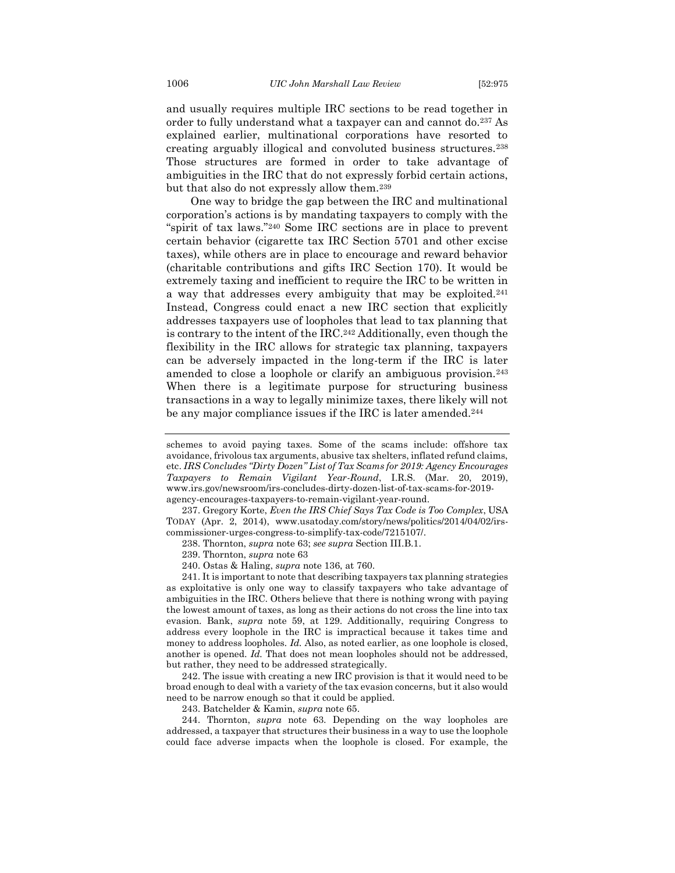and usually requires multiple IRC sections to be read together in order to fully understand what a taxpayer can and cannot do.<sup>237</sup> As explained earlier, multinational corporations have resorted to creating arguably illogical and convoluted business structures.<sup>238</sup> Those structures are formed in order to take advantage of ambiguities in the IRC that do not expressly forbid certain actions, but that also do not expressly allow them.<sup>239</sup>

One way to bridge the gap between the IRC and multinational corporation's actions is by mandating taxpayers to comply with the "spirit of tax laws."<sup>240</sup> Some IRC sections are in place to prevent certain behavior (cigarette tax IRC Section 5701 and other excise taxes), while others are in place to encourage and reward behavior (charitable contributions and gifts IRC Section 170). It would be extremely taxing and inefficient to require the IRC to be written in a way that addresses every ambiguity that may be exploited.<sup>241</sup> Instead, Congress could enact a new IRC section that explicitly addresses taxpayers use of loopholes that lead to tax planning that is contrary to the intent of the IRC.<sup>242</sup> Additionally, even though the flexibility in the IRC allows for strategic tax planning, taxpayers can be adversely impacted in the long-term if the IRC is later amended to close a loophole or clarify an ambiguous provision.<sup>243</sup> When there is a legitimate purpose for structuring business transactions in a way to legally minimize taxes, there likely will not be any major compliance issues if the IRC is later amended.<sup>244</sup>

239. Thornton, *supra* not[e 63](#page-10-2)

240. Ostas & Haling, *supra* note [136,](#page-19-0) at 760.

241. It is important to note that describing taxpayers tax planning strategies as exploitative is only one way to classify taxpayers who take advantage of ambiguities in the IRC. Others believe that there is nothing wrong with paying the lowest amount of taxes, as long as their actions do not cross the line into tax evasion. Bank, *supra* note 59, at 129. Additionally, requiring Congress to address every loophole in the IRC is impractical because it takes time and money to address loopholes*. Id.* Also, as noted earlier, as one loophole is closed, another is opened. *Id.* That does not mean loopholes should not be addressed, but rather, they need to be addressed strategically.

242. The issue with creating a new IRC provision is that it would need to be broad enough to deal with a variety of the tax evasion concerns, but it also would need to be narrow enough so that it could be applied.

243. Batchelder & Kamin, *supra* not[e 65.](#page-11-1)

244. Thornton, *supra* note [63.](#page-10-2) Depending on the way loopholes are addressed, a taxpayer that structures their business in a way to use the loophole could face adverse impacts when the loophole is closed. For example, the

schemes to avoid paying taxes. Some of the scams include: offshore tax avoidance, frivolous tax arguments, abusive tax shelters, inflated refund claims, etc. *IRS Concludes "Dirty Dozen" List of Tax Scams for 2019: Agency Encourages Taxpayers to Remain Vigilant Year-Round*, I.R.S. (Mar. 20, 2019), www.irs.gov/newsroom/irs-concludes-dirty-dozen-list-of-tax-scams-for-2019 agency-encourages-taxpayers-to-remain-vigilant-year-round.

<sup>237.</sup> Gregory Korte, *Even the IRS Chief Says Tax Code is Too Complex*, USA TODAY (Apr. 2, 2014), www.usatoday.com/story/news/politics/2014/04/02/irscommissioner-urges-congress-to-simplify-tax-code/7215107/.

<sup>238.</sup> Thornton, *supra* not[e 63;](#page-10-2) *see supra* Section III.B.1.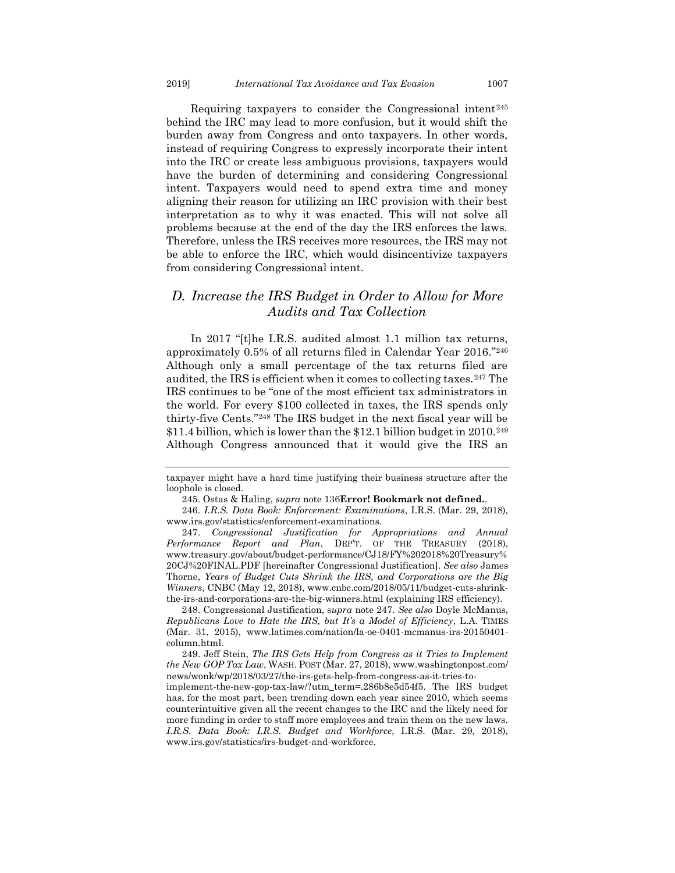Requiring taxpayers to consider the Congressional intent<sup>245</sup> behind the IRC may lead to more confusion, but it would shift the burden away from Congress and onto taxpayers. In other words, instead of requiring Congress to expressly incorporate their intent into the IRC or create less ambiguous provisions, taxpayers would have the burden of determining and considering Congressional intent. Taxpayers would need to spend extra time and money aligning their reason for utilizing an IRC provision with their best interpretation as to why it was enacted. This will not solve all problems because at the end of the day the IRS enforces the laws. Therefore, unless the IRS receives more resources, the IRS may not be able to enforce the IRC, which would disincentivize taxpayers from considering Congressional intent.

## <span id="page-33-0"></span>*D. Increase the IRS Budget in Order to Allow for More Audits and Tax Collection*

In 2017 "[t]he I.R.S. audited almost 1.1 million tax returns, approximately 0.5% of all returns filed in Calendar Year 2016."<sup>246</sup> Although only a small percentage of the tax returns filed are audited, the IRS is efficient when it comes to collecting taxes.<sup>247</sup> The IRS continues to be "one of the most efficient tax administrators in the world. For every \$100 collected in taxes, the IRS spends only thirty-five Cents."<sup>248</sup> The IRS budget in the next fiscal year will be  $$11.4$  billion, which is lower than the  $$12.1$  billion budget in 2010.<sup>249</sup> Although Congress announced that it would give the IRS an

247. *Congressional Justification for Appropriations and Annual Performance Report and Plan*, DEP'T. OF THE TREASURY (2018), www.treasury.gov/about/budget-performance/CJ18/FY%202018%20Treasury% 20CJ%20FINAL.PDF [hereinafter Congressional Justification]. *See also* James Thorne, *Years of Budget Cuts Shrink the IRS, and Corporations are the Big Winners*, CNBC (May 12, 2018), www.cnbc.com/2018/05/11/budget-cuts-shrinkthe-irs-and-corporations-are-the-big-winners.html (explaining IRS efficiency).

248. Congressional Justification, s*upra* note 247. *See also* Doyle McManus, *Republicans Love to Hate the IRS, but It's a Model of Efficiency*, L.A. TIMES (Mar. 31, 2015), www.latimes.com/nation/la-oe-0401-mcmanus-irs-20150401 column.html.

249. Jeff Stein, *The IRS Gets Help from Congress as it Tries to Implement the New GOP Tax Law*, WASH. POST (Mar. 27, 2018), www.washingtonpost.com/ news/wonk/wp/2018/03/27/the-irs-gets-help-from-congress-as-it-tries-to-

implement-the-new-gop-tax-law/?utm\_term=.286b8e5d54f5. The IRS budget has, for the most part, been trending down each year since 2010, which seems counterintuitive given all the recent changes to the IRC and the likely need for more funding in order to staff more employees and train them on the new laws. *I.R.S. Data Book: I.R.S. Budget and Workforce*, I.R.S. (Mar. 29, 2018), www.irs.gov/statistics/irs-budget-and-workforce.

taxpayer might have a hard time justifying their business structure after the loophole is closed.

<sup>245.</sup> Ostas & Haling, *supra* note [136](#page-19-0)**Error! Bookmark not defined.**.

<sup>246.</sup> *I.R.S. Data Book: Enforcement: Examinations*, I.R.S. (Mar. 29, 2018), www.irs.gov/statistics/enforcement-examinations.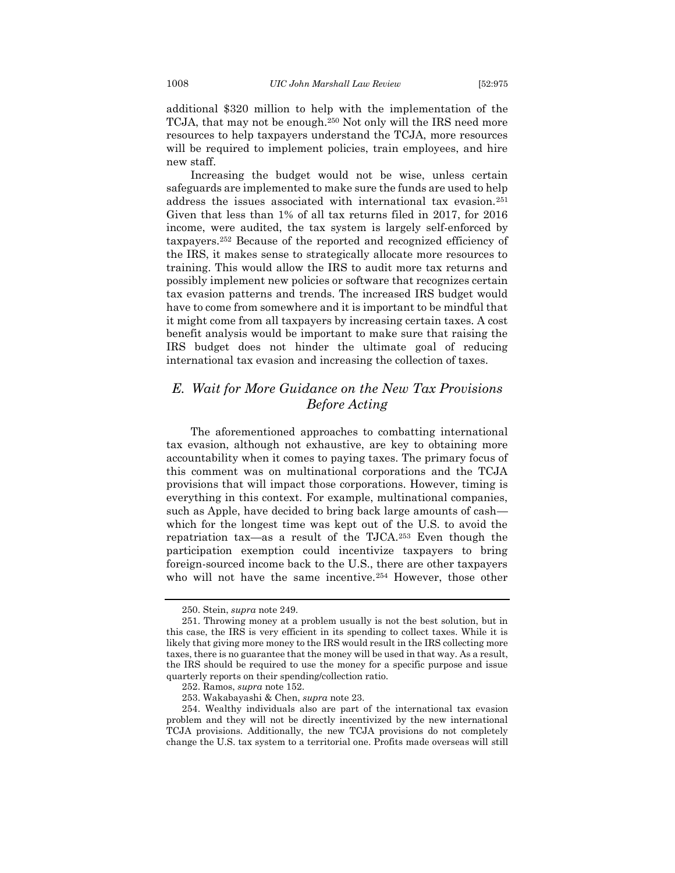additional \$320 million to help with the implementation of the TCJA, that may not be enough.<sup>250</sup> Not only will the IRS need more resources to help taxpayers understand the TCJA, more resources will be required to implement policies, train employees, and hire new staff.

Increasing the budget would not be wise, unless certain safeguards are implemented to make sure the funds are used to help address the issues associated with international tax evasion.<sup>251</sup> Given that less than 1% of all tax returns filed in 2017, for 2016 income, were audited, the tax system is largely self-enforced by taxpayers.<sup>252</sup> Because of the reported and recognized efficiency of the IRS, it makes sense to strategically allocate more resources to training. This would allow the IRS to audit more tax returns and possibly implement new policies or software that recognizes certain tax evasion patterns and trends. The increased IRS budget would have to come from somewhere and it is important to be mindful that it might come from all taxpayers by increasing certain taxes. A cost benefit analysis would be important to make sure that raising the IRS budget does not hinder the ultimate goal of reducing international tax evasion and increasing the collection of taxes.

## <span id="page-34-0"></span>*E. Wait for More Guidance on the New Tax Provisions Before Acting*

The aforementioned approaches to combatting international tax evasion, although not exhaustive, are key to obtaining more accountability when it comes to paying taxes. The primary focus of this comment was on multinational corporations and the TCJA provisions that will impact those corporations. However, timing is everything in this context. For example, multinational companies, such as Apple, have decided to bring back large amounts of cash which for the longest time was kept out of the U.S. to avoid the repatriation tax—as a result of the TJCA.<sup>253</sup> Even though the participation exemption could incentivize taxpayers to bring foreign-sourced income back to the U.S., there are other taxpayers who will not have the same incentive.<sup>254</sup> However, those other

<sup>250.</sup> Stein, *supra* note 249.

<sup>251.</sup> Throwing money at a problem usually is not the best solution, but in this case, the IRS is very efficient in its spending to collect taxes. While it is likely that giving more money to the IRS would result in the IRS collecting more taxes, there is no guarantee that the money will be used in that way. As a result, the IRS should be required to use the money for a specific purpose and issue quarterly reports on their spending/collection ratio.

<sup>252.</sup> Ramos, *supra* not[e 152.](#page-20-2)

<sup>253.</sup> Wakabayashi & Chen, *supra* not[e 23.](#page-5-1)

<sup>254.</sup> Wealthy individuals also are part of the international tax evasion problem and they will not be directly incentivized by the new international TCJA provisions. Additionally, the new TCJA provisions do not completely change the U.S. tax system to a territorial one. Profits made overseas will still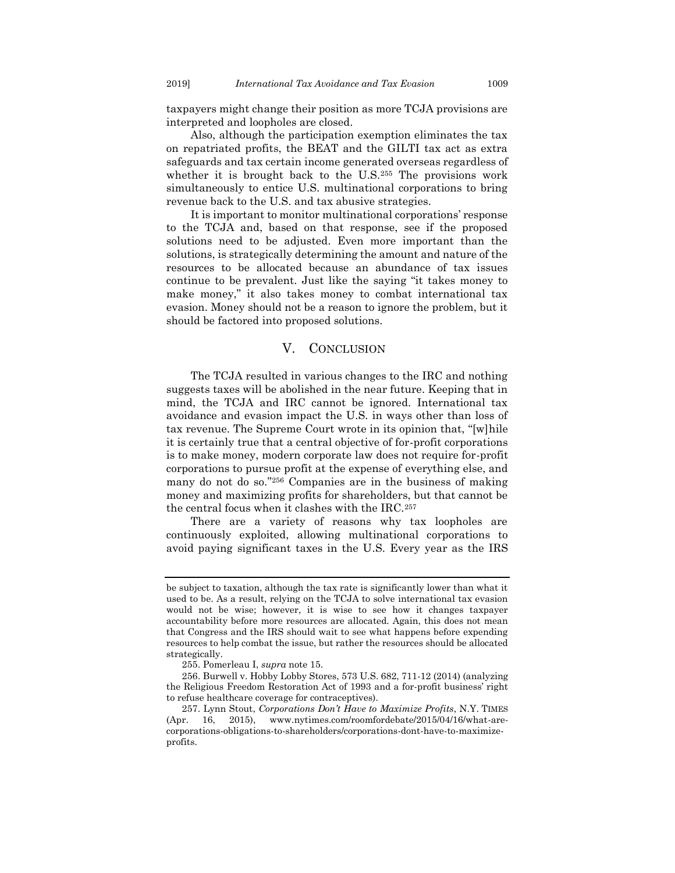taxpayers might change their position as more TCJA provisions are interpreted and loopholes are closed.

Also, although the participation exemption eliminates the tax on repatriated profits, the BEAT and the GILTI tax act as extra safeguards and tax certain income generated overseas regardless of whether it is brought back to the U.S.<sup>255</sup> The provisions work simultaneously to entice U.S. multinational corporations to bring revenue back to the U.S. and tax abusive strategies.

It is important to monitor multinational corporations' response to the TCJA and, based on that response, see if the proposed solutions need to be adjusted. Even more important than the solutions, is strategically determining the amount and nature of the resources to be allocated because an abundance of tax issues continue to be prevalent. Just like the saying "it takes money to make money," it also takes money to combat international tax evasion. Money should not be a reason to ignore the problem, but it should be factored into proposed solutions.

#### V. CONCLUSION

<span id="page-35-0"></span>The TCJA resulted in various changes to the IRC and nothing suggests taxes will be abolished in the near future. Keeping that in mind, the TCJA and IRC cannot be ignored. International tax avoidance and evasion impact the U.S. in ways other than loss of tax revenue. The Supreme Court wrote in its opinion that, "[w]hile it is certainly true that a central objective of for-profit corporations is to make money, modern corporate law does not require for-profit corporations to pursue profit at the expense of everything else, and many do not do so." <sup>256</sup> Companies are in the business of making money and maximizing profits for shareholders, but that cannot be the central focus when it clashes with the IRC.<sup>257</sup>

There are a variety of reasons why tax loopholes are continuously exploited, allowing multinational corporations to avoid paying significant taxes in the U.S. Every year as the IRS

be subject to taxation, although the tax rate is significantly lower than what it used to be. As a result, relying on the TCJA to solve international tax evasion would not be wise; however, it is wise to see how it changes taxpayer accountability before more resources are allocated. Again, this does not mean that Congress and the IRS should wait to see what happens before expending resources to help combat the issue, but rather the resources should be allocated strategically.

<sup>255.</sup> Pomerleau I, *supra* note [15.](#page-4-0)

<sup>256.</sup> Burwell v. Hobby Lobby Stores, 573 U.S. 682, 711-12 (2014) (analyzing the Religious Freedom Restoration Act of 1993 and a for-profit business' right to refuse healthcare coverage for contraceptives).

<sup>257.</sup> Lynn Stout, *Corporations Don't Have to Maximize Profits*, N.Y. TIMES (Apr. 16, 2015), www.nytimes.com/roomfordebate/2015/04/16/what-arecorporations-obligations-to-shareholders/corporations-dont-have-to-maximizeprofits.